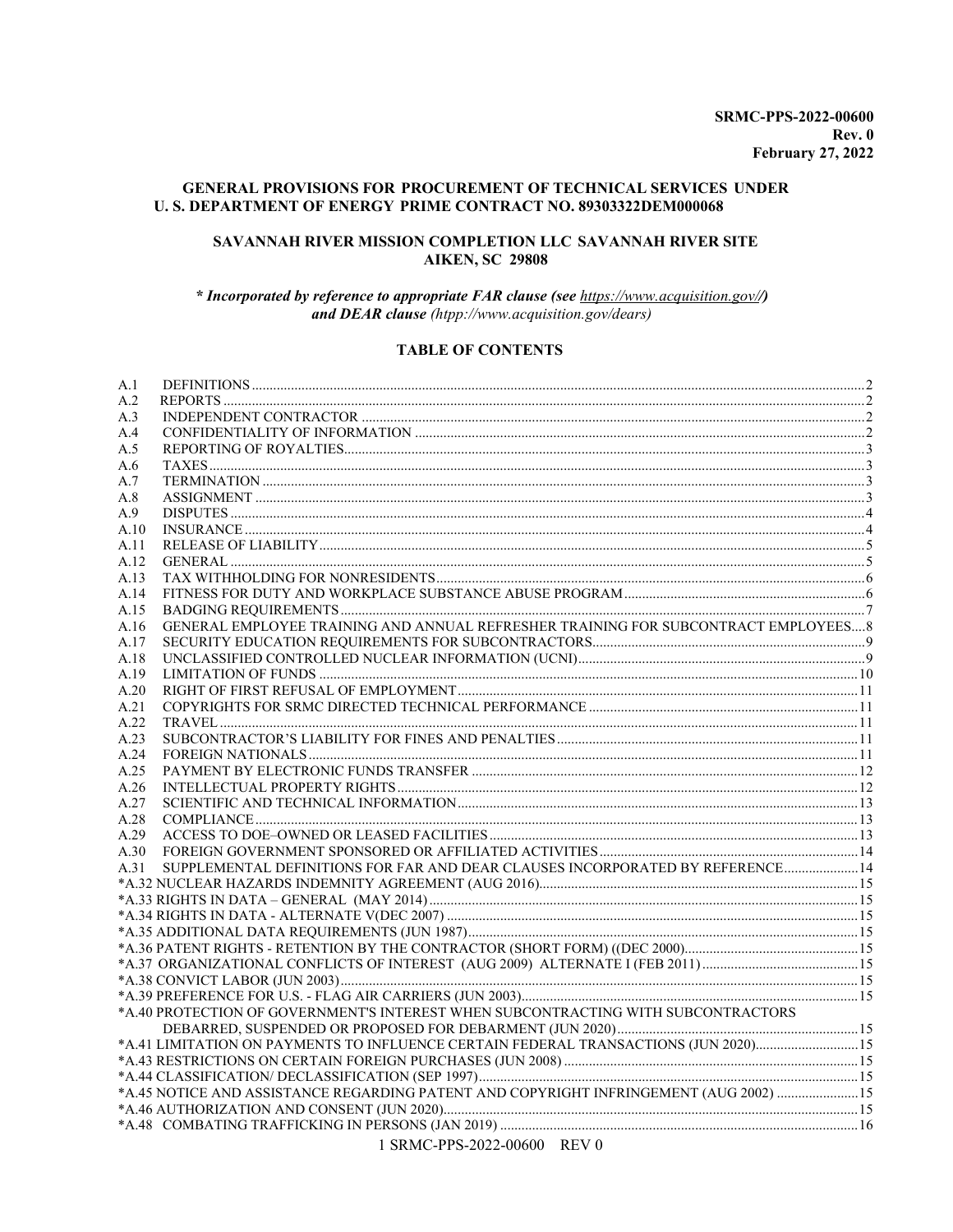## **GENERAL PROVISIONS FOR PROCUREMENT OF TECHNICAL SERVICES UNDER** U. S. DEPARTMENT OF ENERGY PRIME CONTRACT NO. 89303322DEM000068

## SAVANNAH RIVER MISSION COMPLETION LLC SAVANNAH RIVER SITE **AIKEN, SC 29808**

\* Incorporated by reference to appropriate FAR clause (see https://www.acquisition.gov//) and DEAR clause (htpp://www.acquisition.gov/dears)

### **TABLE OF CONTENTS**

| A.1  |                                                                                       |  |
|------|---------------------------------------------------------------------------------------|--|
| A.2  |                                                                                       |  |
| A.3  |                                                                                       |  |
| A.4  |                                                                                       |  |
| A.5  |                                                                                       |  |
| A.6  |                                                                                       |  |
| A.7  |                                                                                       |  |
| A.8  |                                                                                       |  |
| A.9  |                                                                                       |  |
| A.10 |                                                                                       |  |
| A.11 |                                                                                       |  |
| A.12 |                                                                                       |  |
| A.13 |                                                                                       |  |
| A.14 |                                                                                       |  |
| A.15 |                                                                                       |  |
| A.16 | GENERAL EMPLOYEE TRAINING AND ANNUAL REFRESHER TRAINING FOR SUBCONTRACT EMPLOYEES 8   |  |
| A.17 |                                                                                       |  |
| A.18 |                                                                                       |  |
| A.19 |                                                                                       |  |
| A.20 |                                                                                       |  |
| A.21 |                                                                                       |  |
| A.22 |                                                                                       |  |
| A.23 |                                                                                       |  |
| A.24 |                                                                                       |  |
| A.25 |                                                                                       |  |
| A.26 |                                                                                       |  |
| A.27 |                                                                                       |  |
| A.28 |                                                                                       |  |
| A.29 |                                                                                       |  |
| A.30 |                                                                                       |  |
| A.31 | SUPPLEMENTAL DEFINITIONS FOR FAR AND DEAR CLAUSES INCORPORATED BY REFERENCE 14        |  |
|      |                                                                                       |  |
|      |                                                                                       |  |
|      |                                                                                       |  |
|      |                                                                                       |  |
|      |                                                                                       |  |
|      |                                                                                       |  |
|      |                                                                                       |  |
|      | *A.40 PROTECTION OF GOVERNMENT'S INTEREST WHEN SUBCONTRACTING WITH SUBCONTRACTORS     |  |
|      |                                                                                       |  |
|      | *A.41 LIMITATION ON PAYMENTS TO INFLUENCE CERTAIN FEDERAL TRANSACTIONS (JUN 2020)15   |  |
|      |                                                                                       |  |
|      |                                                                                       |  |
|      | *A.45 NOTICE AND ASSISTANCE REGARDING PATENT AND COPYRIGHT INFRINGEMENT (AUG 2002) 15 |  |
|      |                                                                                       |  |
|      |                                                                                       |  |
|      |                                                                                       |  |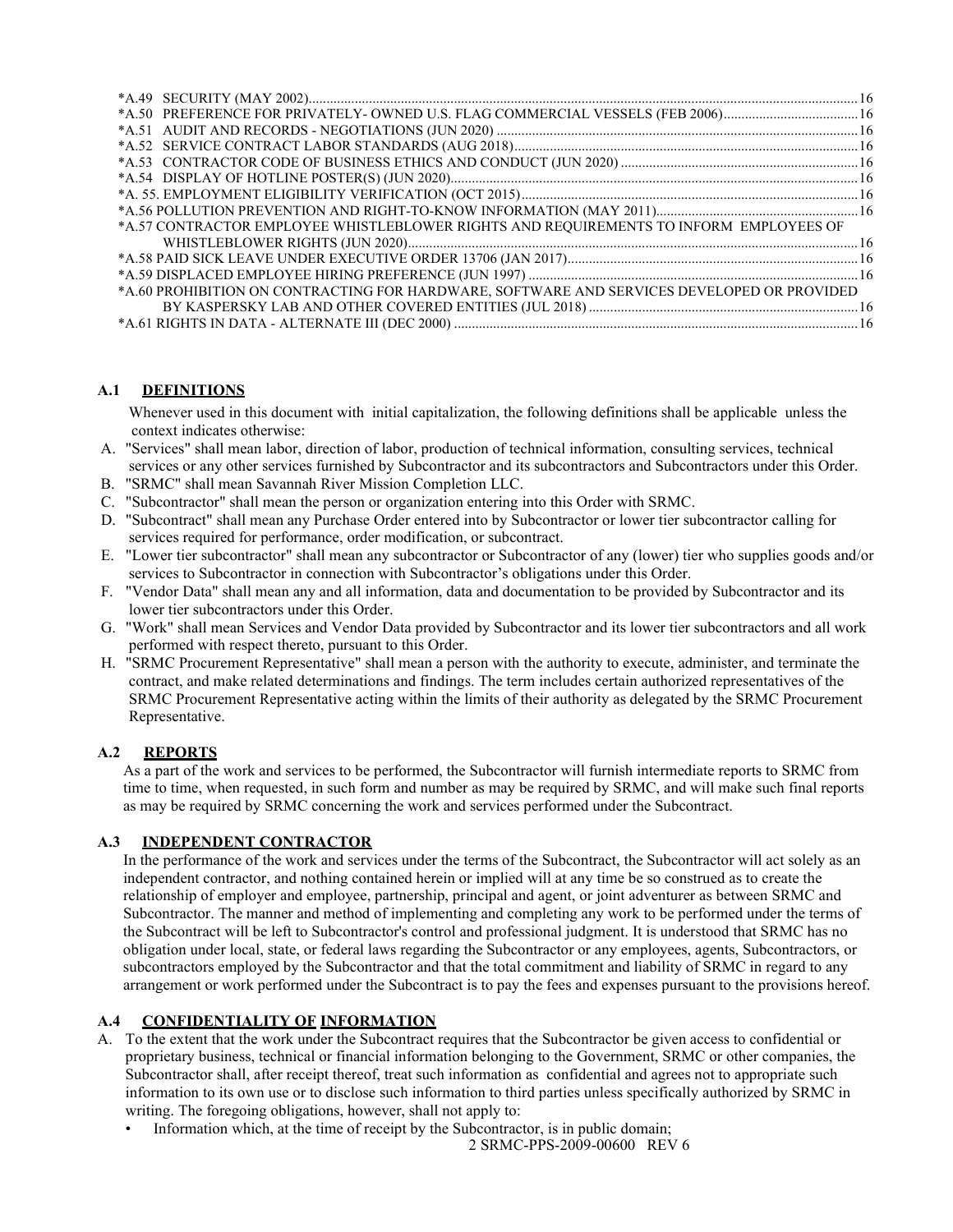| *A.50 PREFERENCE FOR PRIVATELY- OWNED U.S. FLAG COMMERCIAL VESSELS (FEB 2006)16            |  |
|--------------------------------------------------------------------------------------------|--|
|                                                                                            |  |
|                                                                                            |  |
|                                                                                            |  |
|                                                                                            |  |
|                                                                                            |  |
|                                                                                            |  |
| *A.57 CONTRACTOR EMPLOYEE WHISTLEBLOWER RIGHTS AND REQUIREMENTS TO INFORM EMPLOYEES OF     |  |
|                                                                                            |  |
|                                                                                            |  |
|                                                                                            |  |
| *A.60 PROHIBITION ON CONTRACTING FOR HARDWARE, SOFTWARE AND SERVICES DEVELOPED OR PROVIDED |  |
|                                                                                            |  |
|                                                                                            |  |

# <span id="page-1-0"></span>**A.1 DEFINITIONS**

 Whenever used in this document with initial capitalization, the following definitions shall be applicable unless the context indicates otherwise:

- A. "Services" shall mean labor, direction of labor, production of technical information, consulting services, technical services or any other services furnished by Subcontractor and its subcontractors and Subcontractors under this Order.
- B. "SRMC" shall mean Savannah River Mission Completion LLC.
- C. "Subcontractor" shall mean the person or organization entering into this Order with SRMC.
- D. "Subcontract" shall mean any Purchase Order entered into by Subcontractor or lower tier subcontractor calling for services required for performance, order modification, or subcontract.
- E. "Lower tier subcontractor" shall mean any subcontractor or Subcontractor of any (lower) tier who supplies goods and/or services to Subcontractor in connection with Subcontractor's obligations under this Order.
- F. "Vendor Data" shall mean any and all information, data and documentation to be provided by Subcontractor and its lower tier subcontractors under this Order.
- G. "Work" shall mean Services and Vendor Data provided by Subcontractor and its lower tier subcontractors and all work performed with respect thereto, pursuant to this Order.
- H. "SRMC Procurement Representative" shall mean a person with the authority to execute, administer, and terminate the contract, and make related determinations and findings. The term includes certain authorized representatives of the SRMC Procurement Representative acting within the limits of their authority as delegated by the SRMC Procurement Representative.

## <span id="page-1-1"></span>**A.2 REPORTS**

As a part of the work and services to be performed, the Subcontractor will furnish intermediate reports to SRMC from time to time, when requested, in such form and number as may be required by SRMC, and will make such final reports as may be required by SRMC concerning the work and services performed under the Subcontract.

## <span id="page-1-2"></span>**A.3 INDEPENDENT CONTRACTOR**

In the performance of the work and services under the terms of the Subcontract, the Subcontractor will act solely as an independent contractor, and nothing contained herein or implied will at any time be so construed as to create the relationship of employer and employee, partnership, principal and agent, or joint adventurer as between SRMC and Subcontractor. The manner and method of implementing and completing any work to be performed under the terms of the Subcontract will be left to Subcontractor's control and professional judgment. It is understood that SRMC has no obligation under local, state, or federal laws regarding the Subcontractor or any employees, agents, Subcontractors, or subcontractors employed by the Subcontractor and that the total commitment and liability of SRMC in regard to any arrangement or work performed under the Subcontract is to pay the fees and expenses pursuant to the provisions hereof.

# <span id="page-1-3"></span>**A.4 CONFIDENTIALITY OF INFORMATION**

- A. To the extent that the work under the Subcontract requires that the Subcontractor be given access to confidential or proprietary business, technical or financial information belonging to the Government, SRMC or other companies, the Subcontractor shall, after receipt thereof, treat such information as confidential and agrees not to appropriate such information to its own use or to disclose such information to third parties unless specifically authorized by SRMC in writing. The foregoing obligations, however, shall not apply to:
	- Information which, at the time of receipt by the Subcontractor, is in public domain;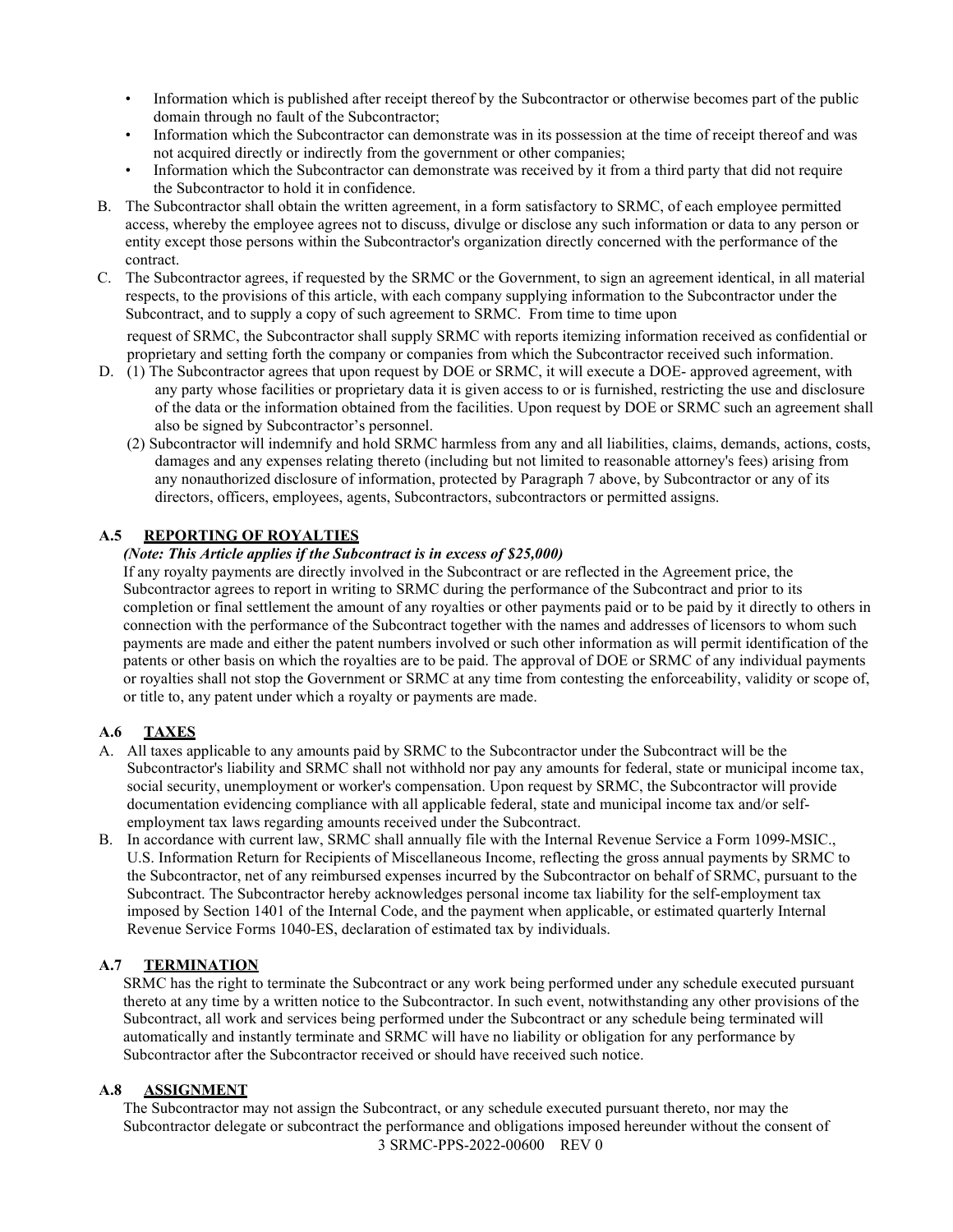- Information which is published after receipt thereof by the Subcontractor or otherwise becomes part of the public domain through no fault of the Subcontractor;
- Information which the Subcontractor can demonstrate was in its possession at the time of receipt thereof and was not acquired directly or indirectly from the government or other companies;
- Information which the Subcontractor can demonstrate was received by it from a third party that did not require the Subcontractor to hold it in confidence.
- B. The Subcontractor shall obtain the written agreement, in a form satisfactory to SRMC, of each employee permitted access, whereby the employee agrees not to discuss, divulge or disclose any such information or data to any person or entity except those persons within the Subcontractor's organization directly concerned with the performance of the contract.
- C. The Subcontractor agrees, if requested by the SRMC or the Government, to sign an agreement identical, in all material respects, to the provisions of this article, with each company supplying information to the Subcontractor under the Subcontract, and to supply a copy of such agreement to SRMC. From time to time upon

request of SRMC, the Subcontractor shall supply SRMC with reports itemizing information received as confidential or proprietary and setting forth the company or companies from which the Subcontractor received such information.

- D. (1) The Subcontractor agrees that upon request by DOE or SRMC, it will execute a DOE- approved agreement, with any party whose facilities or proprietary data it is given access to or is furnished, restricting the use and disclosure of the data or the information obtained from the facilities. Upon request by DOE or SRMC such an agreement shall also be signed by Subcontractor's personnel.
	- (2) Subcontractor will indemnify and hold SRMC harmless from any and all liabilities, claims, demands, actions, costs, damages and any expenses relating thereto (including but not limited to reasonable attorney's fees) arising from any nonauthorized disclosure of information, protected by Paragraph 7 above, by Subcontractor or any of its directors, officers, employees, agents, Subcontractors, subcontractors or permitted assigns.

## <span id="page-2-0"></span>**A.5 REPORTING OF ROYALTIES**

## *(Note: This Article applies if the Subcontract is in excess of \$25,000)*

If any royalty payments are directly involved in the Subcontract or are reflected in the Agreement price, the Subcontractor agrees to report in writing to SRMC during the performance of the Subcontract and prior to its completion or final settlement the amount of any royalties or other payments paid or to be paid by it directly to others in connection with the performance of the Subcontract together with the names and addresses of licensors to whom such payments are made and either the patent numbers involved or such other information as will permit identification of the patents or other basis on which the royalties are to be paid. The approval of DOE or SRMC of any individual payments or royalties shall not stop the Government or SRMC at any time from contesting the enforceability, validity or scope of, or title to, any patent under which a royalty or payments are made.

# <span id="page-2-1"></span>**A.6 TAXES**

- A. All taxes applicable to any amounts paid by SRMC to the Subcontractor under the Subcontract will be the Subcontractor's liability and SRMC shall not withhold nor pay any amounts for federal, state or municipal income tax, social security, unemployment or worker's compensation. Upon request by SRMC, the Subcontractor will provide documentation evidencing compliance with all applicable federal, state and municipal income tax and/or selfemployment tax laws regarding amounts received under the Subcontract.
- B. In accordance with current law, SRMC shall annually file with the Internal Revenue Service a Form 1099-MSIC., U.S. Information Return for Recipients of Miscellaneous Income, reflecting the gross annual payments by SRMC to the Subcontractor, net of any reimbursed expenses incurred by the Subcontractor on behalf of SRMC, pursuant to the Subcontract. The Subcontractor hereby acknowledges personal income tax liability for the self-employment tax imposed by Section 1401 of the Internal Code, and the payment when applicable, or estimated quarterly Internal Revenue Service Forms 1040-ES, declaration of estimated tax by individuals.

# <span id="page-2-2"></span>**A.7 TERMINATION**

SRMC has the right to terminate the Subcontract or any work being performed under any schedule executed pursuant thereto at any time by a written notice to the Subcontractor. In such event, notwithstanding any other provisions of the Subcontract, all work and services being performed under the Subcontract or any schedule being terminated will automatically and instantly terminate and SRMC will have no liability or obligation for any performance by Subcontractor after the Subcontractor received or should have received such notice.

## <span id="page-2-3"></span>**A.8 ASSIGNMENT**

3 SRMC-PPS-2022-00600 REV 0 The Subcontractor may not assign the Subcontract, or any schedule executed pursuant thereto, nor may the Subcontractor delegate or subcontract the performance and obligations imposed hereunder without the consent of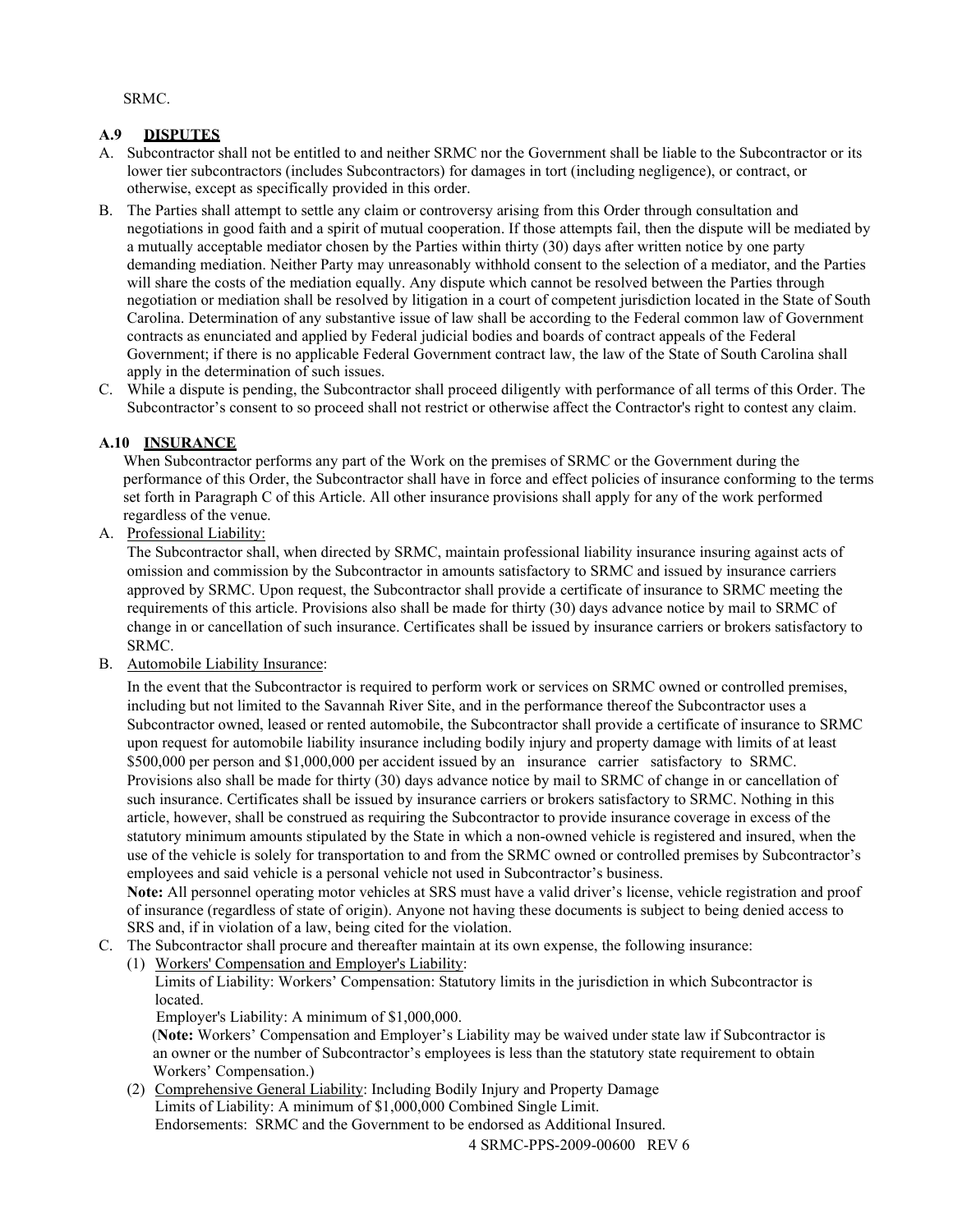SRMC.

## <span id="page-3-0"></span>**A.9 DISPUTES**

- A. Subcontractor shall not be entitled to and neither SRMC nor the Government shall be liable to the Subcontractor or its lower tier subcontractors (includes Subcontractors) for damages in tort (including negligence), or contract, or otherwise, except as specifically provided in this order.
- B. The Parties shall attempt to settle any claim or controversy arising from this Order through consultation and negotiations in good faith and a spirit of mutual cooperation. If those attempts fail, then the dispute will be mediated by a mutually acceptable mediator chosen by the Parties within thirty (30) days after written notice by one party demanding mediation. Neither Party may unreasonably withhold consent to the selection of a mediator, and the Parties will share the costs of the mediation equally. Any dispute which cannot be resolved between the Parties through negotiation or mediation shall be resolved by litigation in a court of competent jurisdiction located in the State of South Carolina. Determination of any substantive issue of law shall be according to the Federal common law of Government contracts as enunciated and applied by Federal judicial bodies and boards of contract appeals of the Federal Government; if there is no applicable Federal Government contract law, the law of the State of South Carolina shall apply in the determination of such issues.
- C. While a dispute is pending, the Subcontractor shall proceed diligently with performance of all terms of this Order. The Subcontractor's consent to so proceed shall not restrict or otherwise affect the Contractor's right to contest any claim.

# <span id="page-3-1"></span>**A.10 INSURANCE**

When Subcontractor performs any part of the Work on the premises of SRMC or the Government during the performance of this Order, the Subcontractor shall have in force and effect policies of insurance conforming to the terms set forth in Paragraph C of this Article. All other insurance provisions shall apply for any of the work performed regardless of the venue.

## A. Professional Liability:

The Subcontractor shall, when directed by SRMC, maintain professional liability insurance insuring against acts of omission and commission by the Subcontractor in amounts satisfactory to SRMC and issued by insurance carriers approved by SRMC. Upon request, the Subcontractor shall provide a certificate of insurance to SRMC meeting the requirements of this article. Provisions also shall be made for thirty (30) days advance notice by mail to SRMC of change in or cancellation of such insurance. Certificates shall be issued by insurance carriers or brokers satisfactory to SRMC.

## B. Automobile Liability Insurance:

In the event that the Subcontractor is required to perform work or services on SRMC owned or controlled premises, including but not limited to the Savannah River Site, and in the performance thereof the Subcontractor uses a Subcontractor owned, leased or rented automobile, the Subcontractor shall provide a certificate of insurance to SRMC upon request for automobile liability insurance including bodily injury and property damage with limits of at least \$500,000 per person and \$1,000,000 per accident issued by an insurance carrier satisfactory to SRMC. Provisions also shall be made for thirty (30) days advance notice by mail to SRMC of change in or cancellation of such insurance. Certificates shall be issued by insurance carriers or brokers satisfactory to SRMC. Nothing in this article, however, shall be construed as requiring the Subcontractor to provide insurance coverage in excess of the statutory minimum amounts stipulated by the State in which a non-owned vehicle is registered and insured, when the use of the vehicle is solely for transportation to and from the SRMC owned or controlled premises by Subcontractor's employees and said vehicle is a personal vehicle not used in Subcontractor's business.

**Note:** All personnel operating motor vehicles at SRS must have a valid driver's license, vehicle registration and proof of insurance (regardless of state of origin). Anyone not having these documents is subject to being denied access to SRS and, if in violation of a law, being cited for the violation.

- C. The Subcontractor shall procure and thereafter maintain at its own expense, the following insurance:
- (1) Workers' Compensation and Employer's Liability:

Limits of Liability: Workers' Compensation: Statutory limits in the jurisdiction in which Subcontractor is located.

Employer's Liability: A minimum of \$1,000,000.

 (**Note:** Workers' Compensation and Employer's Liability may be waived under state law if Subcontractor is an owner or the number of Subcontractor's employees is less than the statutory state requirement to obtain Workers' Compensation.)

(2) Comprehensive General Liability: Including Bodily Injury and Property Damage Limits of Liability: A minimum of \$1,000,000 Combined Single Limit. Endorsements: SRMC and the Government to be endorsed as Additional Insured.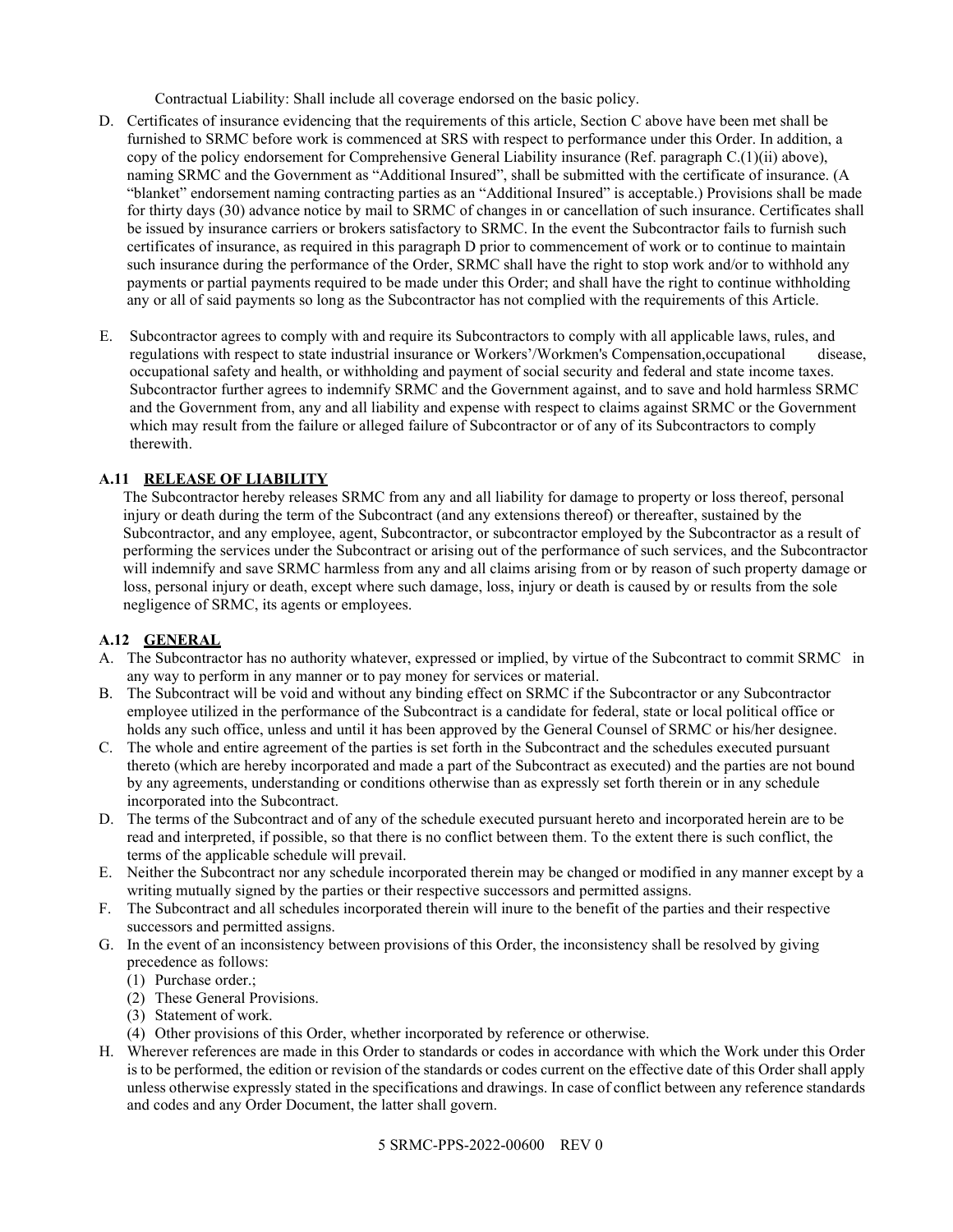Contractual Liability: Shall include all coverage endorsed on the basic policy.

- D. Certificates of insurance evidencing that the requirements of this article, Section C above have been met shall be furnished to SRMC before work is commenced at SRS with respect to performance under this Order. In addition, a copy of the policy endorsement for Comprehensive General Liability insurance (Ref. paragraph C.(1)(ii) above), naming SRMC and the Government as "Additional Insured", shall be submitted with the certificate of insurance. (A "blanket" endorsement naming contracting parties as an "Additional Insured" is acceptable.) Provisions shall be made for thirty days (30) advance notice by mail to SRMC of changes in or cancellation of such insurance. Certificates shall be issued by insurance carriers or brokers satisfactory to SRMC. In the event the Subcontractor fails to furnish such certificates of insurance, as required in this paragraph D prior to commencement of work or to continue to maintain such insurance during the performance of the Order, SRMC shall have the right to stop work and/or to withhold any payments or partial payments required to be made under this Order; and shall have the right to continue withholding any or all of said payments so long as the Subcontractor has not complied with the requirements of this Article.
- E. Subcontractor agrees to comply with and require its Subcontractors to comply with all applicable laws, rules, and regulations with respect to state industrial insurance or Workers'/Workmen's Compensation,occupational disease, occupational safety and health, or withholding and payment of social security and federal and state income taxes. Subcontractor further agrees to indemnify SRMC and the Government against, and to save and hold harmless SRMC and the Government from, any and all liability and expense with respect to claims against SRMC or the Government which may result from the failure or alleged failure of Subcontractor or of any of its Subcontractors to comply therewith.

# <span id="page-4-0"></span>**A.11 RELEASE OF LIABILITY**

The Subcontractor hereby releases SRMC from any and all liability for damage to property or loss thereof, personal injury or death during the term of the Subcontract (and any extensions thereof) or thereafter, sustained by the Subcontractor, and any employee, agent, Subcontractor, or subcontractor employed by the Subcontractor as a result of performing the services under the Subcontract or arising out of the performance of such services, and the Subcontractor will indemnify and save SRMC harmless from any and all claims arising from or by reason of such property damage or loss, personal injury or death, except where such damage, loss, injury or death is caused by or results from the sole negligence of SRMC, its agents or employees.

# <span id="page-4-1"></span>**A.12 GENERAL**

- A. The Subcontractor has no authority whatever, expressed or implied, by virtue of the Subcontract to commit SRMC in any way to perform in any manner or to pay money for services or material.
- B. The Subcontract will be void and without any binding effect on SRMC if the Subcontractor or any Subcontractor employee utilized in the performance of the Subcontract is a candidate for federal, state or local political office or holds any such office, unless and until it has been approved by the General Counsel of SRMC or his/her designee.
- C. The whole and entire agreement of the parties is set forth in the Subcontract and the schedules executed pursuant thereto (which are hereby incorporated and made a part of the Subcontract as executed) and the parties are not bound by any agreements, understanding or conditions otherwise than as expressly set forth therein or in any schedule incorporated into the Subcontract.
- D. The terms of the Subcontract and of any of the schedule executed pursuant hereto and incorporated herein are to be read and interpreted, if possible, so that there is no conflict between them. To the extent there is such conflict, the terms of the applicable schedule will prevail.
- E. Neither the Subcontract nor any schedule incorporated therein may be changed or modified in any manner except by a writing mutually signed by the parties or their respective successors and permitted assigns.
- F. The Subcontract and all schedules incorporated therein will inure to the benefit of the parties and their respective successors and permitted assigns.
- G. In the event of an inconsistency between provisions of this Order, the inconsistency shall be resolved by giving precedence as follows:
	- (1) Purchase order.;
	- (2) These General Provisions.
	- (3) Statement of work.
	- (4) Other provisions of this Order, whether incorporated by reference or otherwise.
- H. Wherever references are made in this Order to standards or codes in accordance with which the Work under this Order is to be performed, the edition or revision of the standards or codes current on the effective date of this Order shall apply unless otherwise expressly stated in the specifications and drawings. In case of conflict between any reference standards and codes and any Order Document, the latter shall govern.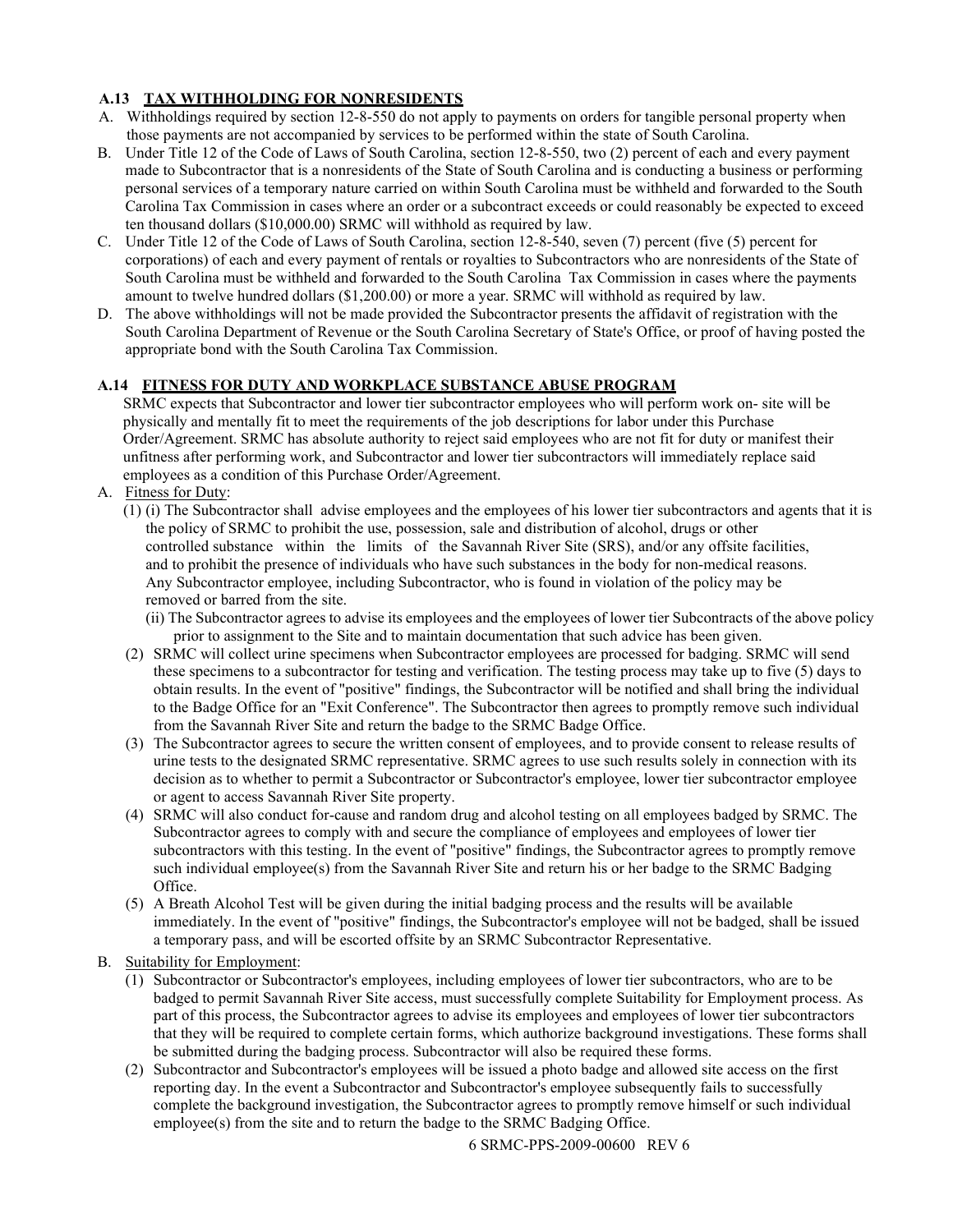# <span id="page-5-0"></span>**A.13 TAX WITHHOLDING FOR NONRESIDENTS**

- A. Withholdings required by section 12-8-550 do not apply to payments on orders for tangible personal property when those payments are not accompanied by services to be performed within the state of South Carolina.
- B. Under Title 12 of the Code of Laws of South Carolina, section 12-8-550, two (2) percent of each and every payment made to Subcontractor that is a nonresidents of the State of South Carolina and is conducting a business or performing personal services of a temporary nature carried on within South Carolina must be withheld and forwarded to the South Carolina Tax Commission in cases where an order or a subcontract exceeds or could reasonably be expected to exceed ten thousand dollars (\$10,000.00) SRMC will withhold as required by law.
- C. Under Title 12 of the Code of Laws of South Carolina, section 12-8-540, seven (7) percent (five (5) percent for corporations) of each and every payment of rentals or royalties to Subcontractors who are nonresidents of the State of South Carolina must be withheld and forwarded to the South Carolina Tax Commission in cases where the payments amount to twelve hundred dollars (\$1,200.00) or more a year. SRMC will withhold as required by law.
- D. The above withholdings will not be made provided the Subcontractor presents the affidavit of registration with the South Carolina Department of Revenue or the South Carolina Secretary of State's Office, or proof of having posted the appropriate bond with the South Carolina Tax Commission.

# <span id="page-5-1"></span>**A.14 FITNESS FOR DUTY AND WORKPLACE SUBSTANCE ABUSE PROGRAM**

SRMC expects that Subcontractor and lower tier subcontractor employees who will perform work on- site will be physically and mentally fit to meet the requirements of the job descriptions for labor under this Purchase Order/Agreement. SRMC has absolute authority to reject said employees who are not fit for duty or manifest their unfitness after performing work, and Subcontractor and lower tier subcontractors will immediately replace said employees as a condition of this Purchase Order/Agreement.

- A. Fitness for Duty:
	- (1) (i) The Subcontractor shall advise employees and the employees of his lower tier subcontractors and agents that it is the policy of SRMC to prohibit the use, possession, sale and distribution of alcohol, drugs or other controlled substance within the limits of the Savannah River Site (SRS), and/or any offsite facilities, and to prohibit the presence of individuals who have such substances in the body for non-medical reasons. Any Subcontractor employee, including Subcontractor, who is found in violation of the policy may be removed or barred from the site.
		- (ii) The Subcontractor agrees to advise its employees and the employees of lower tier Subcontracts of the above policy prior to assignment to the Site and to maintain documentation that such advice has been given.
	- (2) SRMC will collect urine specimens when Subcontractor employees are processed for badging. SRMC will send these specimens to a subcontractor for testing and verification. The testing process may take up to five (5) days to obtain results. In the event of "positive" findings, the Subcontractor will be notified and shall bring the individual to the Badge Office for an "Exit Conference". The Subcontractor then agrees to promptly remove such individual from the Savannah River Site and return the badge to the SRMC Badge Office.
	- (3) The Subcontractor agrees to secure the written consent of employees, and to provide consent to release results of urine tests to the designated SRMC representative. SRMC agrees to use such results solely in connection with its decision as to whether to permit a Subcontractor or Subcontractor's employee, lower tier subcontractor employee or agent to access Savannah River Site property.
	- (4) SRMC will also conduct for-cause and random drug and alcohol testing on all employees badged by SRMC. The Subcontractor agrees to comply with and secure the compliance of employees and employees of lower tier subcontractors with this testing. In the event of "positive" findings, the Subcontractor agrees to promptly remove such individual employee(s) from the Savannah River Site and return his or her badge to the SRMC Badging Office.
	- (5) A Breath Alcohol Test will be given during the initial badging process and the results will be available immediately. In the event of "positive" findings, the Subcontractor's employee will not be badged, shall be issued a temporary pass, and will be escorted offsite by an SRMC Subcontractor Representative.
- B. Suitability for Employment:
	- (1) Subcontractor or Subcontractor's employees, including employees of lower tier subcontractors, who are to be badged to permit Savannah River Site access, must successfully complete Suitability for Employment process. As part of this process, the Subcontractor agrees to advise its employees and employees of lower tier subcontractors that they will be required to complete certain forms, which authorize background investigations. These forms shall be submitted during the badging process. Subcontractor will also be required these forms.
	- (2) Subcontractor and Subcontractor's employees will be issued a photo badge and allowed site access on the first reporting day. In the event a Subcontractor and Subcontractor's employee subsequently fails to successfully complete the background investigation, the Subcontractor agrees to promptly remove himself or such individual employee(s) from the site and to return the badge to the SRMC Badging Office.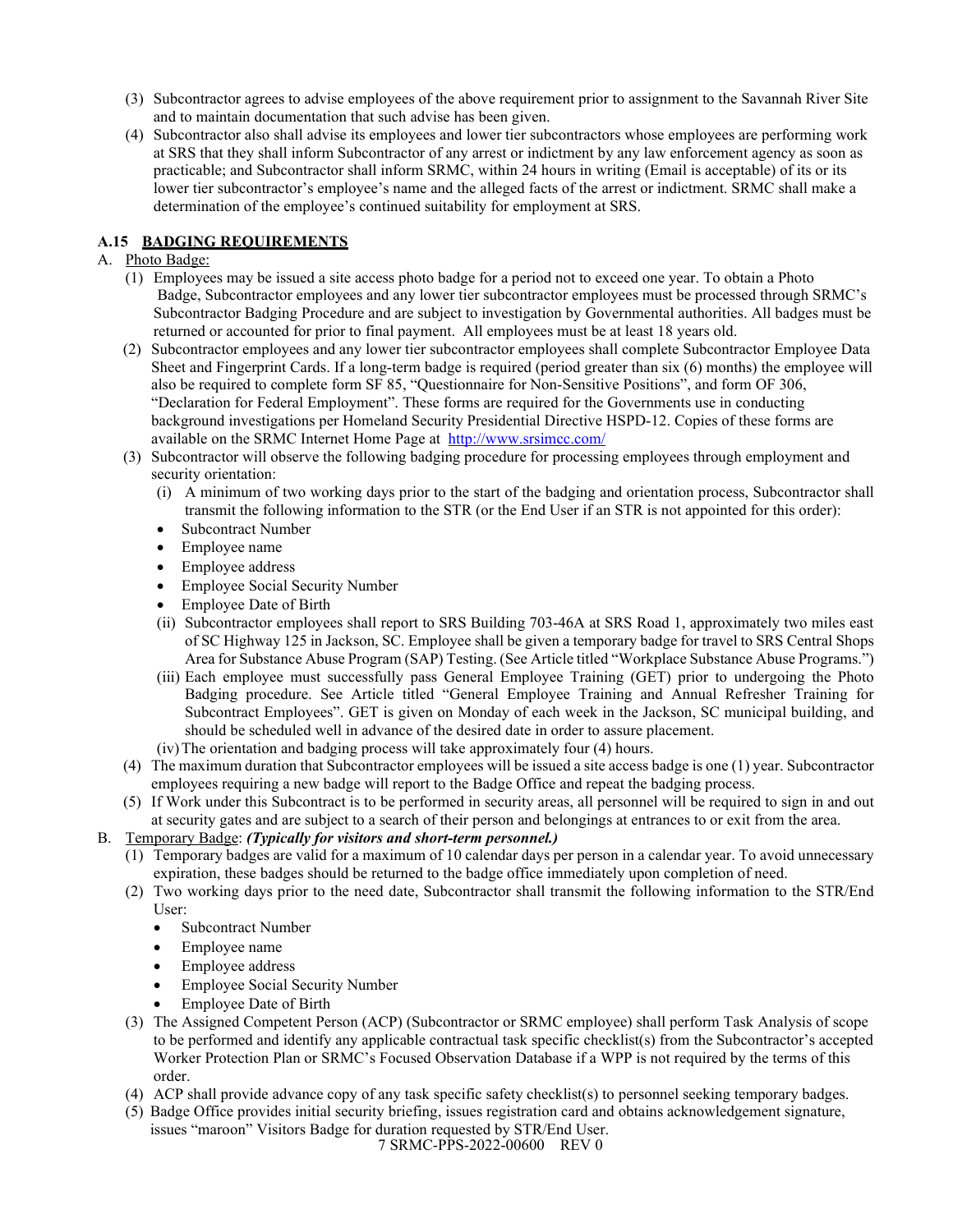- (3) Subcontractor agrees to advise employees of the above requirement prior to assignment to the Savannah River Site and to maintain documentation that such advise has been given.
- (4) Subcontractor also shall advise its employees and lower tier subcontractors whose employees are performing work at SRS that they shall inform Subcontractor of any arrest or indictment by any law enforcement agency as soon as practicable; and Subcontractor shall inform SRMC, within 24 hours in writing (Email is acceptable) of its or its lower tier subcontractor's employee's name and the alleged facts of the arrest or indictment. SRMC shall make a determination of the employee's continued suitability for employment at SRS.

## <span id="page-6-0"></span>**A.15 BADGING REQUIREMENTS**

## A. Photo Badge:

- (1) Employees may be issued a site access photo badge for a period not to exceed one year. To obtain a Photo Badge, Subcontractor employees and any lower tier subcontractor employees must be processed through SRMC's Subcontractor Badging Procedure and are subject to investigation by Governmental authorities. All badges must be returned or accounted for prior to final payment. All employees must be at least 18 years old.
- (2) Subcontractor employees and any lower tier subcontractor employees shall complete Subcontractor Employee Data Sheet and Fingerprint Cards. If a long-term badge is required (period greater than six (6) months) the employee will also be required to complete form SF 85, "Questionnaire for Non-Sensitive Positions", and form OF 306, "Declaration for Federal Employment". These forms are required for the Governments use in conducting background investigations per Homeland Security Presidential Directive HSPD-12. Copies of these forms are available on the SRMC Internet Home Page at <http://www.srsimcc.com/>
- (3) Subcontractor will observe the following badging procedure for processing employees through employment and security orientation:
	- (i) A minimum of two working days prior to the start of the badging and orientation process, Subcontractor shall transmit the following information to the STR (or the End User if an STR is not appointed for this order):
	- Subcontract Number
	- Employee name
	- Employee address
	- Employee Social Security Number
	- Employee Date of Birth
	- (ii) Subcontractor employees shall report to SRS Building 703-46A at SRS Road 1, approximately two miles east of SC Highway 125 in Jackson, SC. Employee shall be given a temporary badge for travel to SRS Central Shops Area for Substance Abuse Program (SAP) Testing. (See Article titled "Workplace Substance Abuse Programs.")
	- (iii) Each employee must successfully pass General Employee Training (GET) prior to undergoing the Photo Badging procedure. See Article titled "General Employee Training and Annual Refresher Training for Subcontract Employees". GET is given on Monday of each week in the Jackson, SC municipal building, and should be scheduled well in advance of the desired date in order to assure placement.
	- (iv)The orientation and badging process will take approximately four (4) hours.
- (4) The maximum duration that Subcontractor employees will be issued a site access badge is one (1) year. Subcontractor employees requiring a new badge will report to the Badge Office and repeat the badging process.
- (5) If Work under this Subcontract is to be performed in security areas, all personnel will be required to sign in and out at security gates and are subject to a search of their person and belongings at entrances to or exit from the area.
- B. Temporary Badge: *(Typically for visitors and short-term personnel.)*
	- (1) Temporary badges are valid for a maximum of 10 calendar days per person in a calendar year. To avoid unnecessary expiration, these badges should be returned to the badge office immediately upon completion of need.
	- (2) Two working days prior to the need date, Subcontractor shall transmit the following information to the STR/End User:
		- Subcontract Number
		- Employee name
		- Employee address
		- Employee Social Security Number
		- Employee Date of Birth
	- (3) The Assigned Competent Person (ACP) (Subcontractor or SRMC employee) shall perform Task Analysis of scope to be performed and identify any applicable contractual task specific checklist(s) from the Subcontractor's accepted Worker Protection Plan or SRMC's Focused Observation Database if a WPP is not required by the terms of this order.
	- (4) ACP shall provide advance copy of any task specific safety checklist(s) to personnel seeking temporary badges.
	- 7 SRMC-PPS-2022-00600 REV 0 (5) Badge Office provides initial security briefing, issues registration card and obtains acknowledgement signature, issues "maroon" Visitors Badge for duration requested by STR/End User.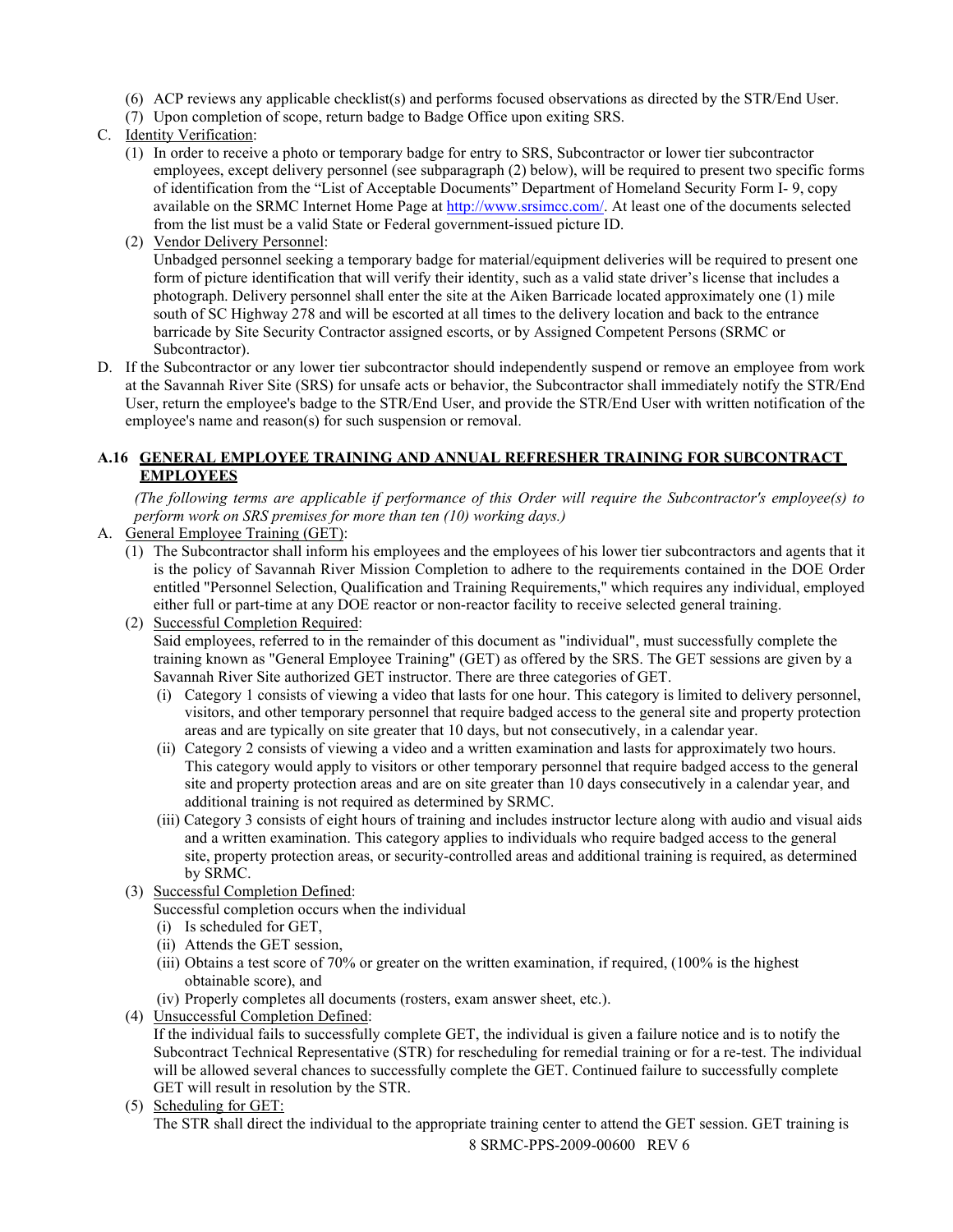- (6) ACP reviews any applicable checklist(s) and performs focused observations as directed by the STR/End User.
- (7) Upon completion of scope, return badge to Badge Office upon exiting SRS.
- C. Identity Verification:
	- (1) In order to receive a photo or temporary badge for entry to SRS, Subcontractor or lower tier subcontractor employees, except delivery personnel (see subparagraph (2) below), will be required to present two specific forms of identification from the "List of Acceptable Documents" Department of Homeland Security Form I- 9, copy available on the SRMC Internet Home Page at [http://www.srsimcc.com/.](http://www.srsimcc.com/) At least one of the documents selected from the list must be a valid State or Federal government-issued picture ID.
	- (2) Vendor Delivery Personnel: Unbadged personnel seeking a temporary badge for material/equipment deliveries will be required to present one form of picture identification that will verify their identity, such as a valid state driver's license that includes a photograph. Delivery personnel shall enter the site at the Aiken Barricade located approximately one (1) mile south of SC Highway 278 and will be escorted at all times to the delivery location and back to the entrance barricade by Site Security Contractor assigned escorts, or by Assigned Competent Persons (SRMC or Subcontractor).
- D. If the Subcontractor or any lower tier subcontractor should independently suspend or remove an employee from work at the Savannah River Site (SRS) for unsafe acts or behavior, the Subcontractor shall immediately notify the STR/End User, return the employee's badge to the STR/End User, and provide the STR/End User with written notification of the employee's name and reason(s) for such suspension or removal.

## <span id="page-7-0"></span>**A.16 GENERAL EMPLOYEE TRAINING AND ANNUAL REFRESHER TRAINING FOR SUBCONTRACT EMPLOYEES**

*(The following terms are applicable if performance of this Order will require the Subcontractor's employee(s) to perform work on SRS premises for more than ten (10) working days.)*

- A. General Employee Training (GET):
	- (1) The Subcontractor shall inform his employees and the employees of his lower tier subcontractors and agents that it is the policy of Savannah River Mission Completion to adhere to the requirements contained in the DOE Order entitled "Personnel Selection, Qualification and Training Requirements," which requires any individual, employed either full or part-time at any DOE reactor or non-reactor facility to receive selected general training.

(2) Successful Completion Required: Said employees, referred to in the remainder of this document as "individual", must successfully complete the training known as "General Employee Training" (GET) as offered by the SRS. The GET sessions are given by a Savannah River Site authorized GET instructor. There are three categories of GET.

- (i) Category 1 consists of viewing a video that lasts for one hour. This category is limited to delivery personnel, visitors, and other temporary personnel that require badged access to the general site and property protection areas and are typically on site greater that 10 days, but not consecutively, in a calendar year.
- (ii) Category 2 consists of viewing a video and a written examination and lasts for approximately two hours. This category would apply to visitors or other temporary personnel that require badged access to the general site and property protection areas and are on site greater than 10 days consecutively in a calendar year, and additional training is not required as determined by SRMC.
- (iii) Category 3 consists of eight hours of training and includes instructor lecture along with audio and visual aids and a written examination. This category applies to individuals who require badged access to the general site, property protection areas, or security-controlled areas and additional training is required, as determined by SRMC.
- (3) Successful Completion Defined:

Successful completion occurs when the individual

- (i) Is scheduled for GET,
- (ii) Attends the GET session,
- (iii) Obtains a test score of 70% or greater on the written examination, if required, (100% is the highest obtainable score), and
- (iv) Properly completes all documents (rosters, exam answer sheet, etc.).
- (4) Unsuccessful Completion Defined:

If the individual fails to successfully complete GET, the individual is given a failure notice and is to notify the Subcontract Technical Representative (STR) for rescheduling for remedial training or for a re-test. The individual will be allowed several chances to successfully complete the GET. Continued failure to successfully complete GET will result in resolution by the STR.

(5) Scheduling for GET:

8 SRMC-PPS-2009-00600 REV 6 The STR shall direct the individual to the appropriate training center to attend the GET session. GET training is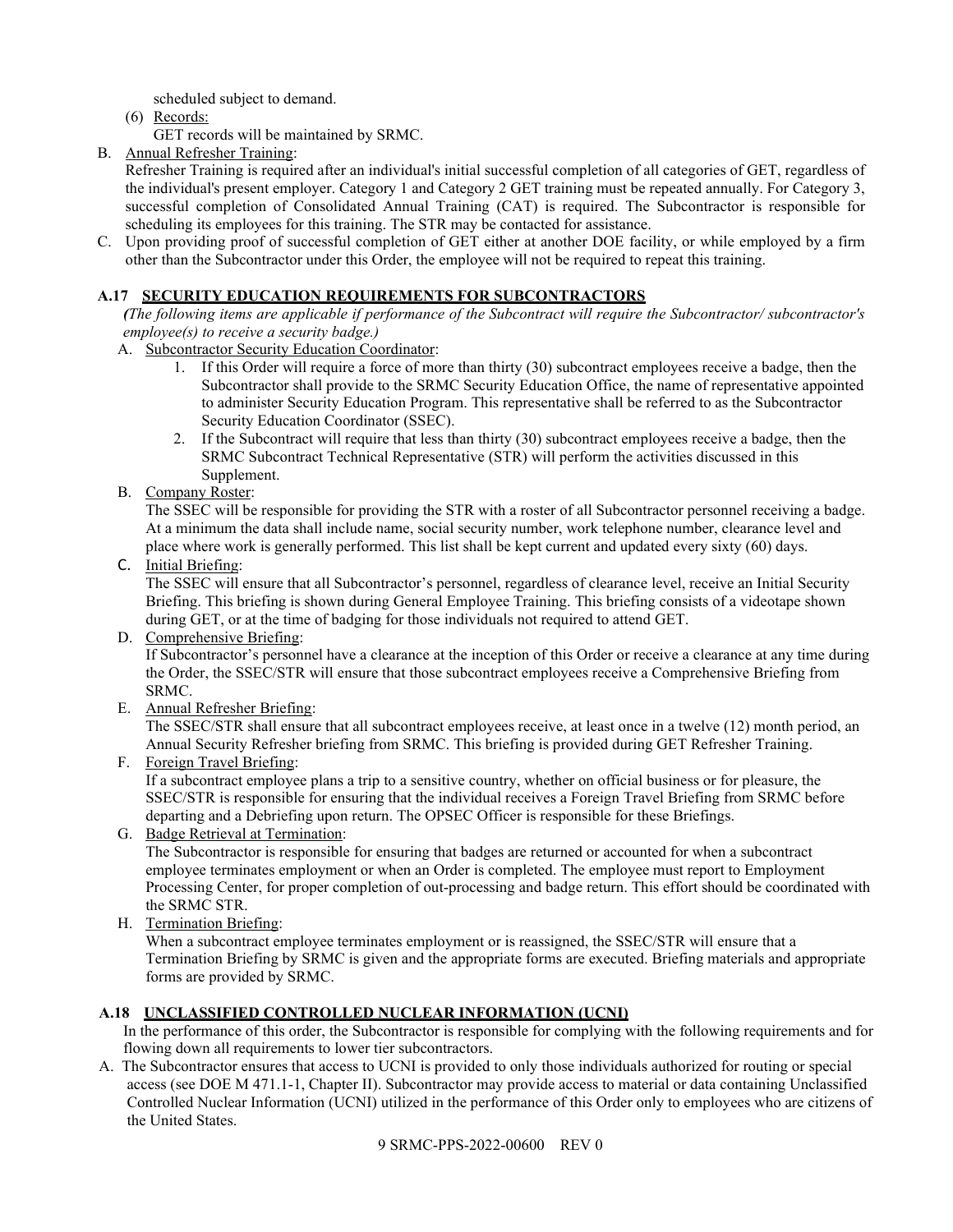scheduled subject to demand.

(6) Records:

GET records will be maintained by SRMC.

B. Annual Refresher Training:

Refresher Training is required after an individual's initial successful completion of all categories of GET, regardless of the individual's present employer. Category 1 and Category 2 GET training must be repeated annually. For Category 3, successful completion of Consolidated Annual Training (CAT) is required. The Subcontractor is responsible for scheduling its employees for this training. The STR may be contacted for assistance.

C. Upon providing proof of successful completion of GET either at another DOE facility, or while employed by a firm other than the Subcontractor under this Order, the employee will not be required to repeat this training.

## <span id="page-8-0"></span>**A.17 SECURITY EDUCATION REQUIREMENTS FOR SUBCONTRACTORS**

*(The following items are applicable if performance of the Subcontract will require the Subcontractor/ subcontractor's employee(s) to receive a security badge.)*

- A. Subcontractor Security Education Coordinator:
	- 1. If this Order will require a force of more than thirty (30) subcontract employees receive a badge, then the Subcontractor shall provide to the SRMC Security Education Office, the name of representative appointed to administer Security Education Program. This representative shall be referred to as the Subcontractor Security Education Coordinator (SSEC).
	- 2. If the Subcontract will require that less than thirty (30) subcontract employees receive a badge, then the SRMC Subcontract Technical Representative (STR) will perform the activities discussed in this Supplement.
- B. Company Roster:

The SSEC will be responsible for providing the STR with a roster of all Subcontractor personnel receiving a badge. At a minimum the data shall include name, social security number, work telephone number, clearance level and place where work is generally performed. This list shall be kept current and updated every sixty (60) days.

C. Initial Briefing:

The SSEC will ensure that all Subcontractor's personnel, regardless of clearance level, receive an Initial Security Briefing. This briefing is shown during General Employee Training. This briefing consists of a videotape shown during GET, or at the time of badging for those individuals not required to attend GET.

D. Comprehensive Briefing:

If Subcontractor's personnel have a clearance at the inception of this Order or receive a clearance at any time during the Order, the SSEC/STR will ensure that those subcontract employees receive a Comprehensive Briefing from SRMC.

E. Annual Refresher Briefing:

The SSEC/STR shall ensure that all subcontract employees receive, at least once in a twelve (12) month period, an Annual Security Refresher briefing from SRMC. This briefing is provided during GET Refresher Training.

F. Foreign Travel Briefing:

If a subcontract employee plans a trip to a sensitive country, whether on official business or for pleasure, the SSEC/STR is responsible for ensuring that the individual receives a Foreign Travel Briefing from SRMC before departing and a Debriefing upon return. The OPSEC Officer is responsible for these Briefings.

G. Badge Retrieval at Termination:

The Subcontractor is responsible for ensuring that badges are returned or accounted for when a subcontract employee terminates employment or when an Order is completed. The employee must report to Employment Processing Center, for proper completion of out-processing and badge return. This effort should be coordinated with the SRMC STR.

H. Termination Briefing:

When a subcontract employee terminates employment or is reassigned, the SSEC/STR will ensure that a Termination Briefing by SRMC is given and the appropriate forms are executed. Briefing materials and appropriate forms are provided by SRMC.

## <span id="page-8-1"></span>**A.18 UNCLASSIFIED CONTROLLED NUCLEAR INFORMATION (UCNI)**

In the performance of this order, the Subcontractor is responsible for complying with the following requirements and for flowing down all requirements to lower tier subcontractors.

A. The Subcontractor ensures that access to UCNI is provided to only those individuals authorized for routing or special access (see DOE M 471.1-1, Chapter II). Subcontractor may provide access to material or data containing Unclassified Controlled Nuclear Information (UCNI) utilized in the performance of this Order only to employees who are citizens of the United States.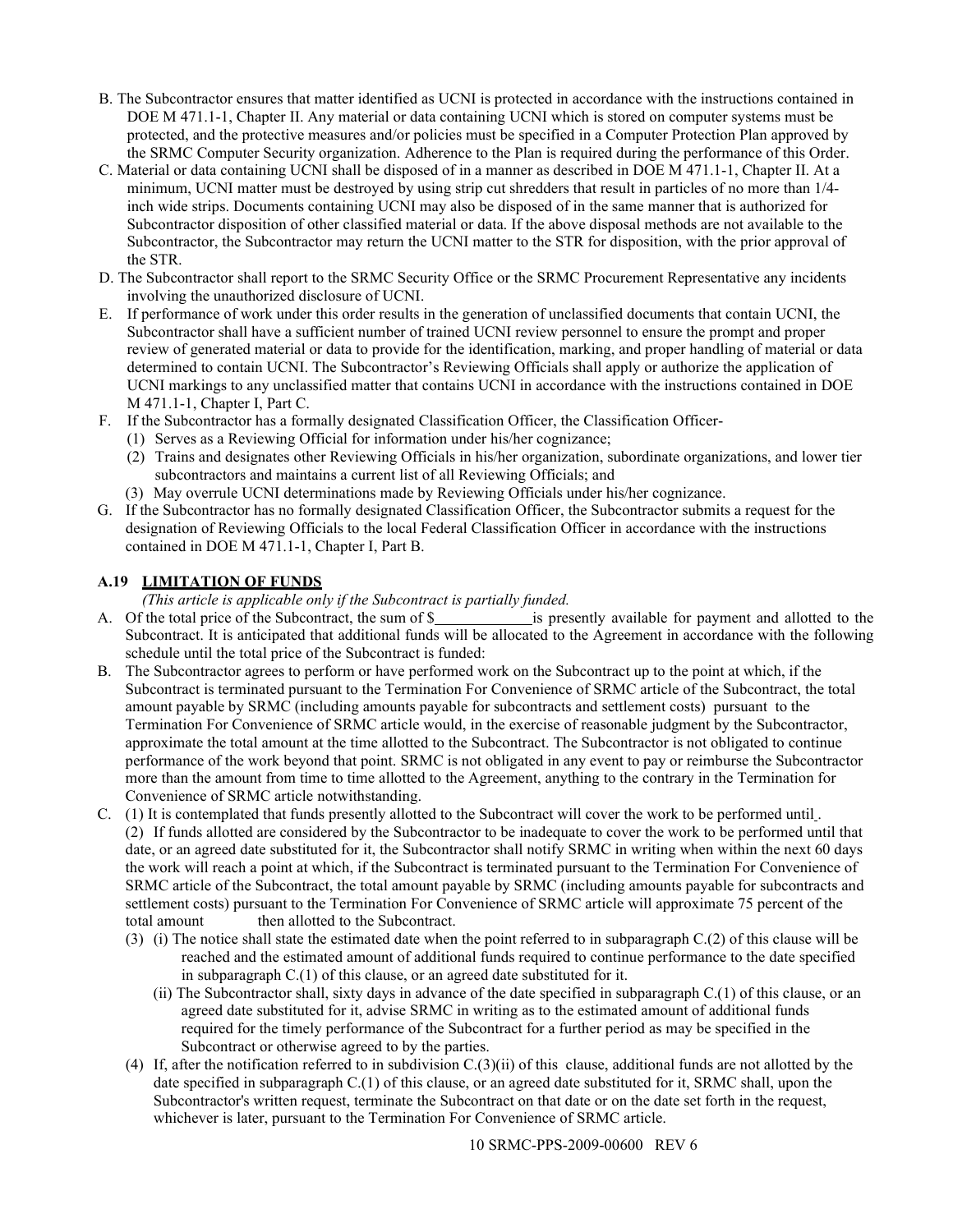- B. The Subcontractor ensures that matter identified as UCNI is protected in accordance with the instructions contained in DOE M 471.1-1, Chapter II. Any material or data containing UCNI which is stored on computer systems must be protected, and the protective measures and/or policies must be specified in a Computer Protection Plan approved by the SRMC Computer Security organization. Adherence to the Plan is required during the performance of this Order.
- C. Material or data containing UCNI shall be disposed of in a manner as described in DOE M 471.1-1, Chapter II. At a minimum, UCNI matter must be destroyed by using strip cut shredders that result in particles of no more than 1/4 inch wide strips. Documents containing UCNI may also be disposed of in the same manner that is authorized for Subcontractor disposition of other classified material or data. If the above disposal methods are not available to the Subcontractor, the Subcontractor may return the UCNI matter to the STR for disposition, with the prior approval of the STR.
- D. The Subcontractor shall report to the SRMC Security Office or the SRMC Procurement Representative any incidents involving the unauthorized disclosure of UCNI.
- E. If performance of work under this order results in the generation of unclassified documents that contain UCNI, the Subcontractor shall have a sufficient number of trained UCNI review personnel to ensure the prompt and proper review of generated material or data to provide for the identification, marking, and proper handling of material or data determined to contain UCNI. The Subcontractor's Reviewing Officials shall apply or authorize the application of UCNI markings to any unclassified matter that contains UCNI in accordance with the instructions contained in DOE M 471.1-1, Chapter I, Part C.
- F. If the Subcontractor has a formally designated Classification Officer, the Classification Officer-
	- (1) Serves as a Reviewing Official for information under his/her cognizance;
	- (2) Trains and designates other Reviewing Officials in his/her organization, subordinate organizations, and lower tier subcontractors and maintains a current list of all Reviewing Officials; and
	- (3) May overrule UCNI determinations made by Reviewing Officials under his/her cognizance.
- G. If the Subcontractor has no formally designated Classification Officer, the Subcontractor submits a request for the designation of Reviewing Officials to the local Federal Classification Officer in accordance with the instructions contained in DOE M 471.1-1, Chapter I, Part B.

# <span id="page-9-0"></span>**A.19 LIMITATION OF FUNDS**

*(This article is applicable only if the Subcontract is partially funded.*

- A. Of the total price of the Subcontract, the sum of \$ is presently available for payment and allotted to the Subcontract. It is anticipated that additional funds will be allocated to the Agreement in accordance with the following schedule until the total price of the Subcontract is funded:
- B. The Subcontractor agrees to perform or have performed work on the Subcontract up to the point at which, if the Subcontract is terminated pursuant to the Termination For Convenience of SRMC article of the Subcontract, the total amount payable by SRMC (including amounts payable for subcontracts and settlement costs) pursuant to the Termination For Convenience of SRMC article would, in the exercise of reasonable judgment by the Subcontractor, approximate the total amount at the time allotted to the Subcontract. The Subcontractor is not obligated to continue performance of the work beyond that point. SRMC is not obligated in any event to pay or reimburse the Subcontractor more than the amount from time to time allotted to the Agreement, anything to the contrary in the Termination for Convenience of SRMC article notwithstanding.
- C. (1) It is contemplated that funds presently allotted to the Subcontract will cover the work to be performed until . (2) If funds allotted are considered by the Subcontractor to be inadequate to cover the work to be performed until that date, or an agreed date substituted for it, the Subcontractor shall notify SRMC in writing when within the next 60 days the work will reach a point at which, if the Subcontract is terminated pursuant to the Termination For Convenience of SRMC article of the Subcontract, the total amount payable by SRMC (including amounts payable for subcontracts and settlement costs) pursuant to the Termination For Convenience of SRMC article will approximate 75 percent of the total amount then allotted to the Subcontract.
	- (3) (i) The notice shall state the estimated date when the point referred to in subparagraph C.(2) of this clause will be reached and the estimated amount of additional funds required to continue performance to the date specified in subparagraph C.(1) of this clause, or an agreed date substituted for it.
		- (ii) The Subcontractor shall, sixty days in advance of the date specified in subparagraph C.(1) of this clause, or an agreed date substituted for it, advise SRMC in writing as to the estimated amount of additional funds required for the timely performance of the Subcontract for a further period as may be specified in the Subcontract or otherwise agreed to by the parties.
	- (4) If, after the notification referred to in subdivision C.(3)(ii) of this clause, additional funds are not allotted by the date specified in subparagraph C.(1) of this clause, or an agreed date substituted for it, SRMC shall, upon the Subcontractor's written request, terminate the Subcontract on that date or on the date set forth in the request, whichever is later, pursuant to the Termination For Convenience of SRMC article.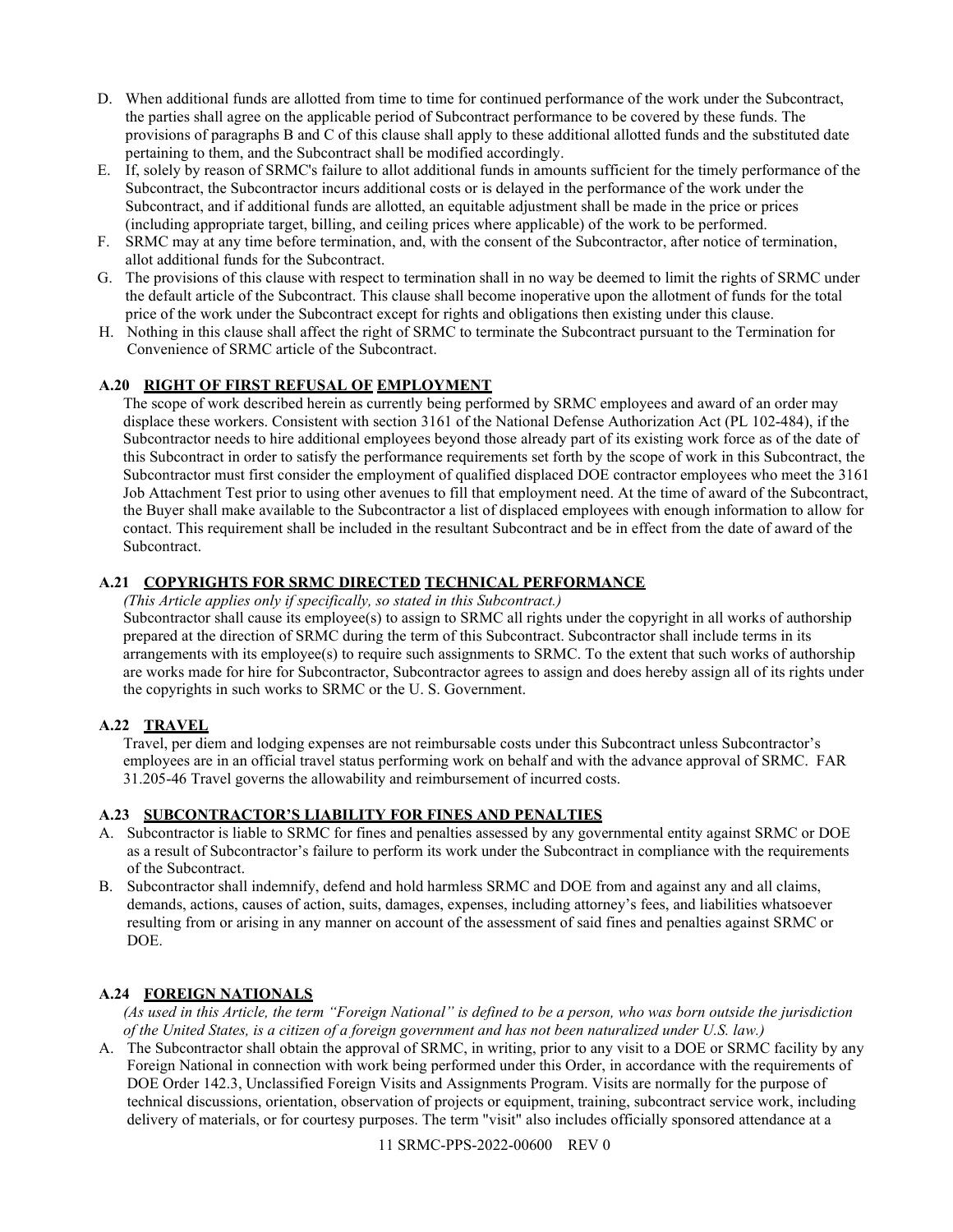- D. When additional funds are allotted from time to time for continued performance of the work under the Subcontract, the parties shall agree on the applicable period of Subcontract performance to be covered by these funds. The provisions of paragraphs B and C of this clause shall apply to these additional allotted funds and the substituted date pertaining to them, and the Subcontract shall be modified accordingly.
- E. If, solely by reason of SRMC's failure to allot additional funds in amounts sufficient for the timely performance of the Subcontract, the Subcontractor incurs additional costs or is delayed in the performance of the work under the Subcontract, and if additional funds are allotted, an equitable adjustment shall be made in the price or prices (including appropriate target, billing, and ceiling prices where applicable) of the work to be performed.
- F. SRMC may at any time before termination, and, with the consent of the Subcontractor, after notice of termination, allot additional funds for the Subcontract.
- G. The provisions of this clause with respect to termination shall in no way be deemed to limit the rights of SRMC under the default article of the Subcontract. This clause shall become inoperative upon the allotment of funds for the total price of the work under the Subcontract except for rights and obligations then existing under this clause.
- H. Nothing in this clause shall affect the right of SRMC to terminate the Subcontract pursuant to the Termination for Convenience of SRMC article of the Subcontract.

# <span id="page-10-0"></span>**A.20 RIGHT OF FIRST REFUSAL OF EMPLOYMENT**

The scope of work described herein as currently being performed by SRMC employees and award of an order may displace these workers. Consistent with section 3161 of the National Defense Authorization Act (PL 102-484), if the Subcontractor needs to hire additional employees beyond those already part of its existing work force as of the date of this Subcontract in order to satisfy the performance requirements set forth by the scope of work in this Subcontract, the Subcontractor must first consider the employment of qualified displaced DOE contractor employees who meet the 3161 Job Attachment Test prior to using other avenues to fill that employment need. At the time of award of the Subcontract, the Buyer shall make available to the Subcontractor a list of displaced employees with enough information to allow for contact. This requirement shall be included in the resultant Subcontract and be in effect from the date of award of the Subcontract.

## <span id="page-10-1"></span>**A.21 COPYRIGHTS FOR SRMC DIRECTED TECHNICAL PERFORMANCE**

*(This Article applies only if specifically, so stated in this Subcontract.)*

Subcontractor shall cause its employee(s) to assign to SRMC all rights under the copyright in all works of authorship prepared at the direction of SRMC during the term of this Subcontract. Subcontractor shall include terms in its arrangements with its employee(s) to require such assignments to SRMC. To the extent that such works of authorship are works made for hire for Subcontractor, Subcontractor agrees to assign and does hereby assign all of its rights under the copyrights in such works to SRMC or the U. S. Government.

## <span id="page-10-2"></span>**A.22 TRAVEL**

Travel, per diem and lodging expenses are not reimbursable costs under this Subcontract unless Subcontractor's employees are in an official travel status performing work on behalf and with the advance approval of SRMC. FAR 31.205-46 Travel governs the allowability and reimbursement of incurred costs.

## <span id="page-10-3"></span>**A.23 SUBCONTRACTOR'S LIABILITY FOR FINES AND PENALTIES**

- A. Subcontractor is liable to SRMC for fines and penalties assessed by any governmental entity against SRMC or DOE as a result of Subcontractor's failure to perform its work under the Subcontract in compliance with the requirements of the Subcontract.
- B. Subcontractor shall indemnify, defend and hold harmless SRMC and DOE from and against any and all claims, demands, actions, causes of action, suits, damages, expenses, including attorney's fees, and liabilities whatsoever resulting from or arising in any manner on account of the assessment of said fines and penalties against SRMC or DOE.

## <span id="page-10-4"></span>**A.24 FOREIGN NATIONALS**

*(As used in this Article, the term "Foreign National" is defined to be a person, who was born outside the jurisdiction of the United States, is a citizen of a foreign government and has not been naturalized under U.S. law.)*

A. The Subcontractor shall obtain the approval of SRMC, in writing, prior to any visit to a DOE or SRMC facility by any Foreign National in connection with work being performed under this Order, in accordance with the requirements of DOE Order 142.3, Unclassified Foreign Visits and Assignments Program. Visits are normally for the purpose of technical discussions, orientation, observation of projects or equipment, training, subcontract service work, including delivery of materials, or for courtesy purposes. The term "visit" also includes officially sponsored attendance at a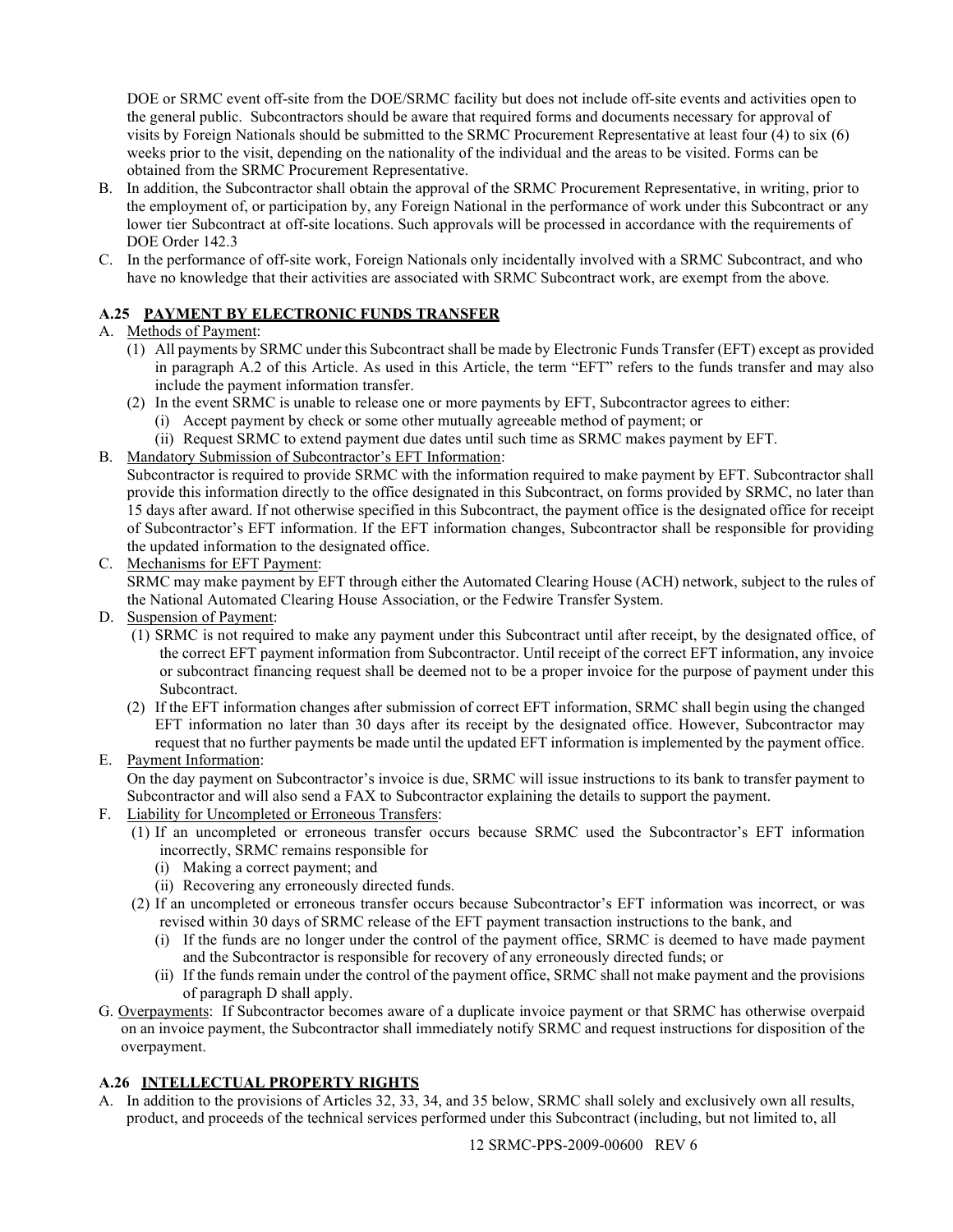DOE or SRMC event off-site from the DOE/SRMC facility but does not include off-site events and activities open to the general public. Subcontractors should be aware that required forms and documents necessary for approval of visits by Foreign Nationals should be submitted to the SRMC Procurement Representative at least four (4) to six (6) weeks prior to the visit, depending on the nationality of the individual and the areas to be visited. Forms can be obtained from the SRMC Procurement Representative.

- B. In addition, the Subcontractor shall obtain the approval of the SRMC Procurement Representative, in writing, prior to the employment of, or participation by, any Foreign National in the performance of work under this Subcontract or any lower tier Subcontract at off-site locations. Such approvals will be processed in accordance with the requirements of DOE Order 142.3
- C. In the performance of off-site work, Foreign Nationals only incidentally involved with a SRMC Subcontract, and who have no knowledge that their activities are associated with SRMC Subcontract work, are exempt from the above.

# <span id="page-11-0"></span>**A.25 PAYMENT BY ELECTRONIC FUNDS TRANSFER**

# A. Methods of Payment:

- (1) All payments by SRMC under this Subcontract shall be made by Electronic Funds Transfer (EFT) except as provided in paragraph A.2 of this Article. As used in this Article, the term "EFT" refers to the funds transfer and may also include the payment information transfer.
- (2) In the event SRMC is unable to release one or more payments by EFT, Subcontractor agrees to either:
	- (i) Accept payment by check or some other mutually agreeable method of payment; or
	- (ii) Request SRMC to extend payment due dates until such time as SRMC makes payment by EFT.
- B. Mandatory Submission of Subcontractor's EFT Information:

Subcontractor is required to provide SRMC with the information required to make payment by EFT. Subcontractor shall provide this information directly to the office designated in this Subcontract, on forms provided by SRMC, no later than 15 days after award. If not otherwise specified in this Subcontract, the payment office is the designated office for receipt of Subcontractor's EFT information. If the EFT information changes, Subcontractor shall be responsible for providing the updated information to the designated office.

C. Mechanisms for EFT Payment:

SRMC may make payment by EFT through either the Automated Clearing House (ACH) network, subject to the rules of the National Automated Clearing House Association, or the Fedwire Transfer System.

- D. Suspension of Payment:
	- (1) SRMC is not required to make any payment under this Subcontract until after receipt, by the designated office, of the correct EFT payment information from Subcontractor. Until receipt of the correct EFT information, any invoice or subcontract financing request shall be deemed not to be a proper invoice for the purpose of payment under this Subcontract.
	- (2) If the EFT information changes after submission of correct EFT information, SRMC shall begin using the changed EFT information no later than 30 days after its receipt by the designated office. However, Subcontractor may request that no further payments be made until the updated EFT information is implemented by the payment office.

# E. Payment Information:

On the day payment on Subcontractor's invoice is due, SRMC will issue instructions to its bank to transfer payment to Subcontractor and will also send a FAX to Subcontractor explaining the details to support the payment.

- F. Liability for Uncompleted or Erroneous Transfers:
	- (1) If an uncompleted or erroneous transfer occurs because SRMC used the Subcontractor's EFT information incorrectly, SRMC remains responsible for
		- (i) Making a correct payment; and
		- (ii) Recovering any erroneously directed funds.
	- (2) If an uncompleted or erroneous transfer occurs because Subcontractor's EFT information was incorrect, or was revised within 30 days of SRMC release of the EFT payment transaction instructions to the bank, and
		- (i) If the funds are no longer under the control of the payment office, SRMC is deemed to have made payment and the Subcontractor is responsible for recovery of any erroneously directed funds; or
		- (ii) If the funds remain under the control of the payment office, SRMC shall not make payment and the provisions of paragraph D shall apply.
- G. Overpayments: If Subcontractor becomes aware of a duplicate invoice payment or that SRMC has otherwise overpaid on an invoice payment, the Subcontractor shall immediately notify SRMC and request instructions for disposition of the overpayment.

# <span id="page-11-1"></span>**A.26 INTELLECTUAL PROPERTY RIGHTS**

A. In addition to the provisions of Articles 32, 33, 34, and 35 below, SRMC shall solely and exclusively own all results, product, and proceeds of the technical services performed under this Subcontract (including, but not limited to, all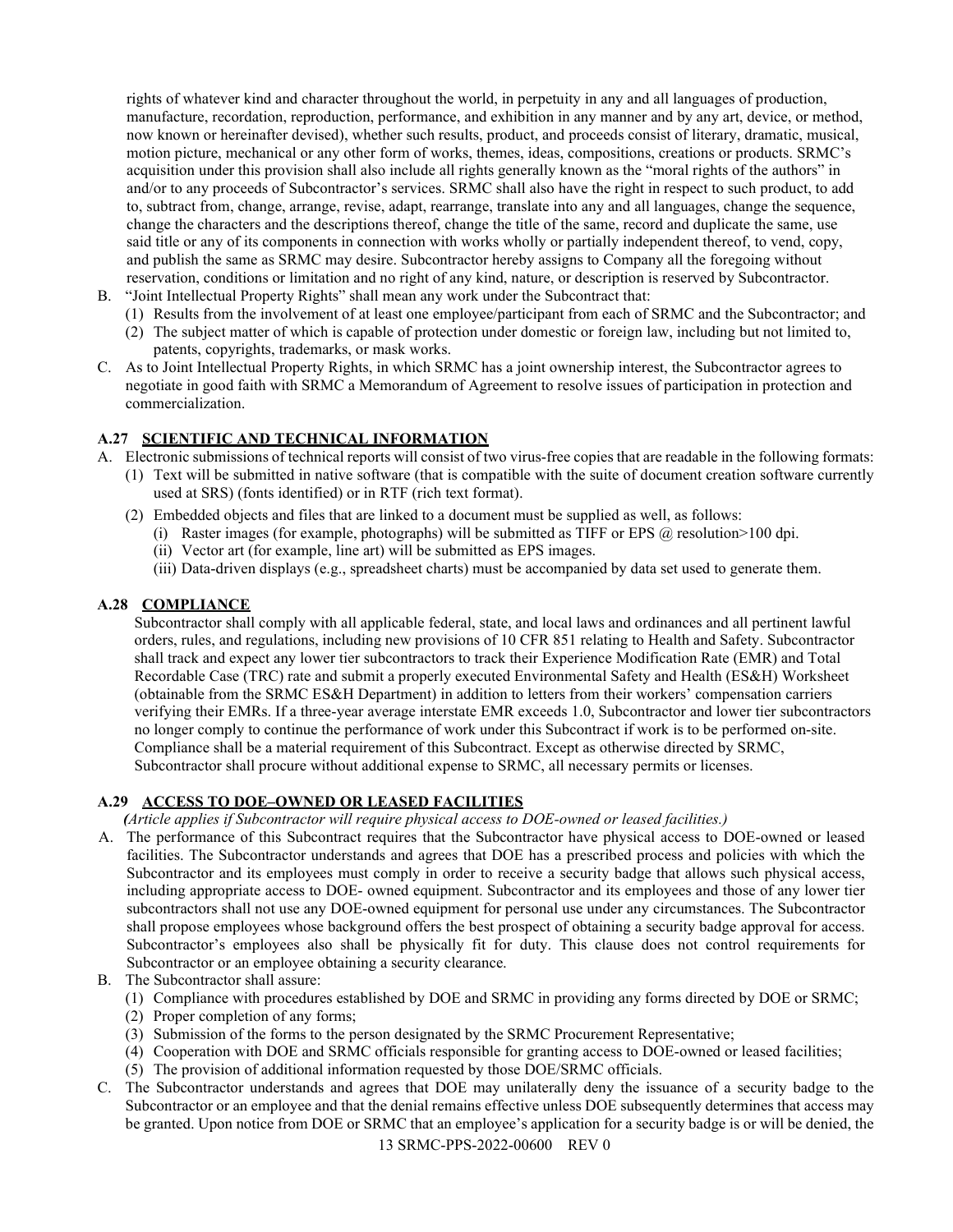rights of whatever kind and character throughout the world, in perpetuity in any and all languages of production, manufacture, recordation, reproduction, performance, and exhibition in any manner and by any art, device, or method, now known or hereinafter devised), whether such results, product, and proceeds consist of literary, dramatic, musical, motion picture, mechanical or any other form of works, themes, ideas, compositions, creations or products. SRMC's acquisition under this provision shall also include all rights generally known as the "moral rights of the authors" in and/or to any proceeds of Subcontractor's services. SRMC shall also have the right in respect to such product, to add to, subtract from, change, arrange, revise, adapt, rearrange, translate into any and all languages, change the sequence, change the characters and the descriptions thereof, change the title of the same, record and duplicate the same, use said title or any of its components in connection with works wholly or partially independent thereof, to vend, copy, and publish the same as SRMC may desire. Subcontractor hereby assigns to Company all the foregoing without reservation, conditions or limitation and no right of any kind, nature, or description is reserved by Subcontractor.

- B. "Joint Intellectual Property Rights" shall mean any work under the Subcontract that:
	- (1) Results from the involvement of at least one employee/participant from each of SRMC and the Subcontractor; and
	- (2) The subject matter of which is capable of protection under domestic or foreign law, including but not limited to, patents, copyrights, trademarks, or mask works.
- C. As to Joint Intellectual Property Rights, in which SRMC has a joint ownership interest, the Subcontractor agrees to negotiate in good faith with SRMC a Memorandum of Agreement to resolve issues of participation in protection and commercialization.

## <span id="page-12-0"></span>**A.27 SCIENTIFIC AND TECHNICAL INFORMATION**

A. Electronic submissions of technical reports will consist of two virus-free copies that are readable in the following formats:

- (1) Text will be submitted in native software (that is compatible with the suite of document creation software currently used at SRS) (fonts identified) or in RTF (rich text format).
- (2) Embedded objects and files that are linked to a document must be supplied as well, as follows:
	- (i) Raster images (for example, photographs) will be submitted as TIFF or EPS  $\omega$  resolution > 100 dpi.
	- (ii) Vector art (for example, line art) will be submitted as EPS images.
	- (iii) Data-driven displays (e.g., spreadsheet charts) must be accompanied by data set used to generate them.

## <span id="page-12-1"></span>**A.28 COMPLIANCE**

Subcontractor shall comply with all applicable federal, state, and local laws and ordinances and all pertinent lawful orders, rules, and regulations, including new provisions of 10 CFR 851 relating to Health and Safety. Subcontractor shall track and expect any lower tier subcontractors to track their Experience Modification Rate (EMR) and Total Recordable Case (TRC) rate and submit a properly executed Environmental Safety and Health (ES&H) Worksheet (obtainable from the SRMC ES&H Department) in addition to letters from their workers' compensation carriers verifying their EMRs. If a three-year average interstate EMR exceeds 1.0, Subcontractor and lower tier subcontractors no longer comply to continue the performance of work under this Subcontract if work is to be performed on-site. Compliance shall be a material requirement of this Subcontract. Except as otherwise directed by SRMC, Subcontractor shall procure without additional expense to SRMC, all necessary permits or licenses.

## <span id="page-12-2"></span>**A.29 ACCESS TO DOE–OWNED OR LEASED FACILITIES**

*(Article applies if Subcontractor will require physical access to DOE-owned or leased facilities.)*

- A. The performance of this Subcontract requires that the Subcontractor have physical access to DOE-owned or leased facilities. The Subcontractor understands and agrees that DOE has a prescribed process and policies with which the Subcontractor and its employees must comply in order to receive a security badge that allows such physical access, including appropriate access to DOE- owned equipment. Subcontractor and its employees and those of any lower tier subcontractors shall not use any DOE-owned equipment for personal use under any circumstances. The Subcontractor shall propose employees whose background offers the best prospect of obtaining a security badge approval for access. Subcontractor's employees also shall be physically fit for duty. This clause does not control requirements for Subcontractor or an employee obtaining a security clearance.
- B. The Subcontractor shall assure:
	- (1) Compliance with procedures established by DOE and SRMC in providing any forms directed by DOE or SRMC;
	- (2) Proper completion of any forms;
	- (3) Submission of the forms to the person designated by the SRMC Procurement Representative;
	- (4) Cooperation with DOE and SRMC officials responsible for granting access to DOE-owned or leased facilities;
	- (5) The provision of additional information requested by those DOE/SRMC officials.
- C. The Subcontractor understands and agrees that DOE may unilaterally deny the issuance of a security badge to the Subcontractor or an employee and that the denial remains effective unless DOE subsequently determines that access may be granted. Upon notice from DOE or SRMC that an employee's application for a security badge is or will be denied, the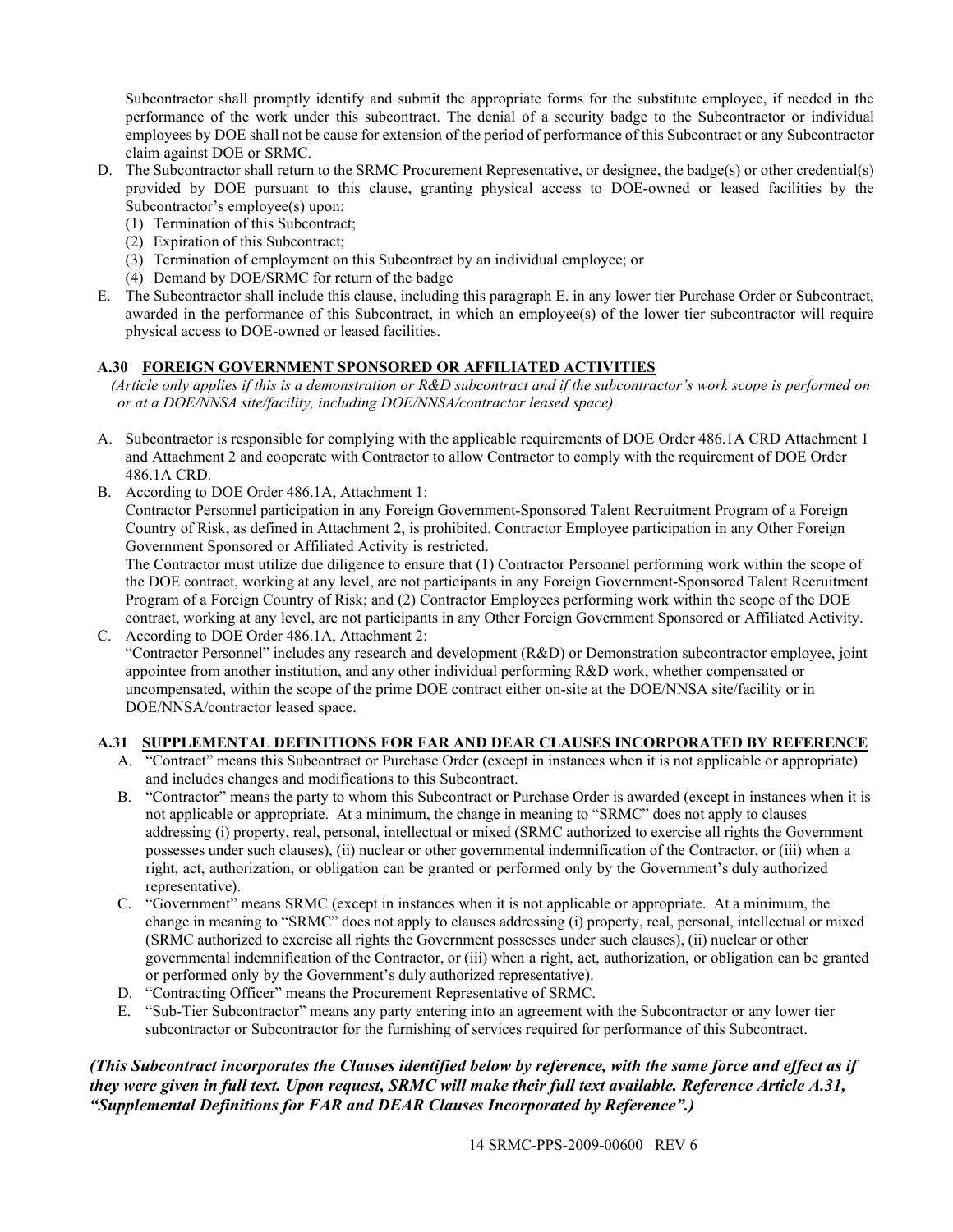Subcontractor shall promptly identify and submit the appropriate forms for the substitute employee, if needed in the performance of the work under this subcontract. The denial of a security badge to the Subcontractor or individual employees by DOE shall not be cause for extension of the period of performance of this Subcontract or any Subcontractor claim against DOE or SRMC.

- D. The Subcontractor shall return to the SRMC Procurement Representative, or designee, the badge(s) or other credential(s) provided by DOE pursuant to this clause, granting physical access to DOE-owned or leased facilities by the Subcontractor's employee(s) upon:
	- (1) Termination of this Subcontract;
	- (2) Expiration of this Subcontract;
	- (3) Termination of employment on this Subcontract by an individual employee; or
	- (4) Demand by DOE/SRMC for return of the badge
- E. The Subcontractor shall include this clause, including this paragraph E. in any lower tier Purchase Order or Subcontract, awarded in the performance of this Subcontract, in which an employee(s) of the lower tier subcontractor will require physical access to DOE-owned or leased facilities.

# <span id="page-13-0"></span>**A.30 FOREIGN GOVERNMENT SPONSORED OR AFFILIATED ACTIVITIES**

*(Article only applies if this is a demonstration or R&D subcontract and if the subcontractor's work scope is performed on or at a DOE/NNSA site/facility, including DOE/NNSA/contractor leased space)*

- A. Subcontractor is responsible for complying with the applicable requirements of DOE Order 486.1A CRD Attachment 1 and Attachment 2 and cooperate with Contractor to allow Contractor to comply with the requirement of DOE Order 486.1A CRD.
- B. According to DOE Order 486.1A, Attachment 1:

Contractor Personnel participation in any Foreign Government-Sponsored Talent Recruitment Program of a Foreign Country of Risk, as defined in Attachment 2, is prohibited. Contractor Employee participation in any Other Foreign Government Sponsored or Affiliated Activity is restricted.

The Contractor must utilize due diligence to ensure that (1) Contractor Personnel performing work within the scope of the DOE contract, working at any level, are not participants in any Foreign Government-Sponsored Talent Recruitment Program of a Foreign Country of Risk; and (2) Contractor Employees performing work within the scope of the DOE contract, working at any level, are not participants in any Other Foreign Government Sponsored or Affiliated Activity. C. According to DOE Order 486.1A, Attachment 2:

"Contractor Personnel" includes any research and development (R&D) or Demonstration subcontractor employee, joint appointee from another institution, and any other individual performing R&D work, whether compensated or uncompensated, within the scope of the prime DOE contract either on-site at the DOE/NNSA site/facility or in DOE/NNSA/contractor leased space.

# <span id="page-13-1"></span>**A.31 SUPPLEMENTAL DEFINITIONS FOR FAR AND DEAR CLAUSES INCORPORATED BY REFERENCE**

- A. "Contract" means this Subcontract or Purchase Order (except in instances when it is not applicable or appropriate) and includes changes and modifications to this Subcontract.
- B. "Contractor" means the party to whom this Subcontract or Purchase Order is awarded (except in instances when it is not applicable or appropriate. At a minimum, the change in meaning to "SRMC" does not apply to clauses addressing (i) property, real, personal, intellectual or mixed (SRMC authorized to exercise all rights the Government possesses under such clauses), (ii) nuclear or other governmental indemnification of the Contractor, or (iii) when a right, act, authorization, or obligation can be granted or performed only by the Government's duly authorized representative).
- C. "Government" means SRMC (except in instances when it is not applicable or appropriate. At a minimum, the change in meaning to "SRMC" does not apply to clauses addressing (i) property, real, personal, intellectual or mixed (SRMC authorized to exercise all rights the Government possesses under such clauses), (ii) nuclear or other governmental indemnification of the Contractor, or (iii) when a right, act, authorization, or obligation can be granted or performed only by the Government's duly authorized representative).
- D. "Contracting Officer" means the Procurement Representative of SRMC.
- E. "Sub-Tier Subcontractor" means any party entering into an agreement with the Subcontractor or any lower tier subcontractor or Subcontractor for the furnishing of services required for performance of this Subcontract.

# *(This Subcontract incorporates the Clauses identified below by reference, with the same force and effect as if they were given in full text. Upon request, SRMC will make their full text available. Reference Article A.31, "Supplemental Definitions for FAR and DEAR Clauses Incorporated by Reference".)*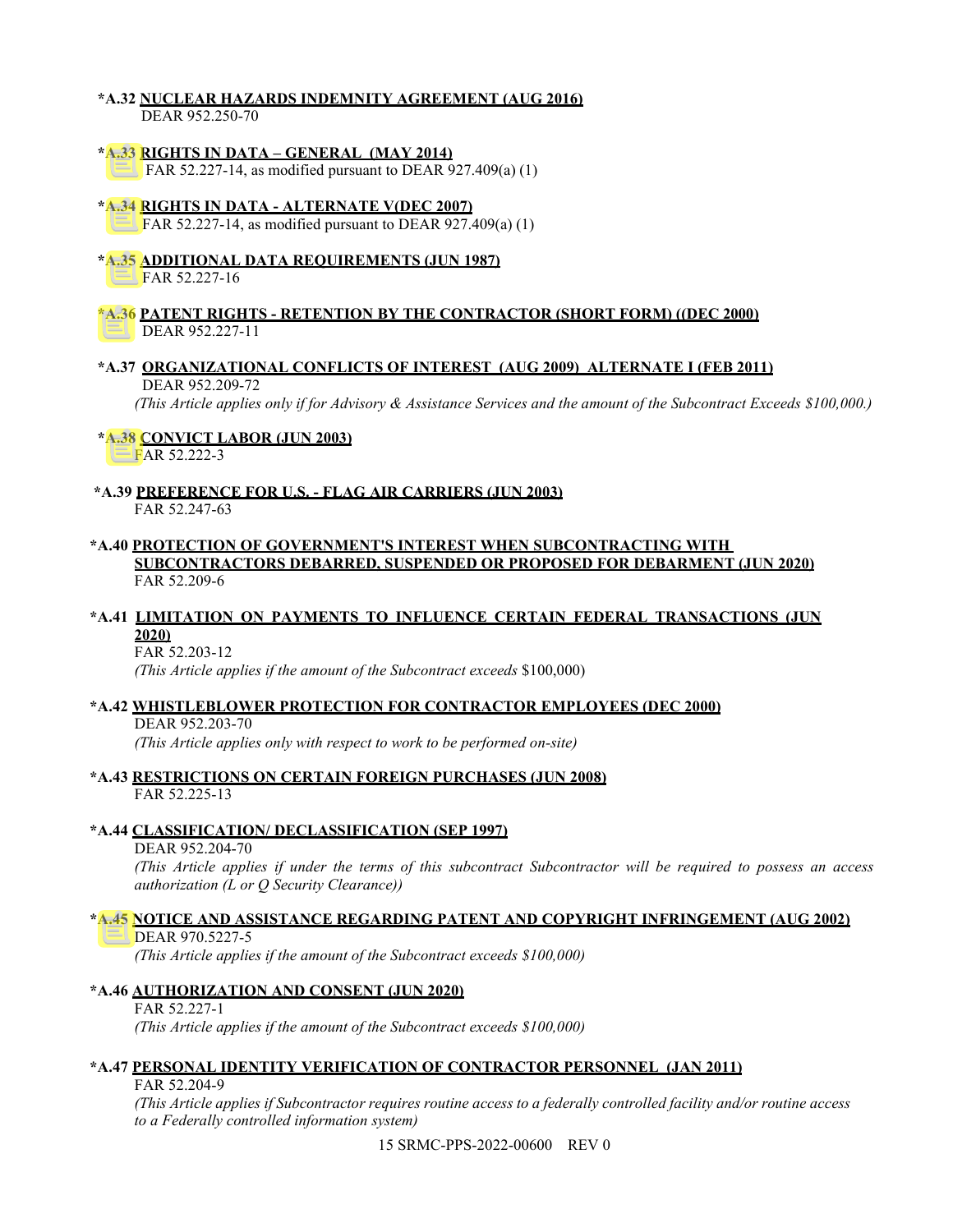### <span id="page-14-0"></span>**\*A.32 NUCLEAR HAZARDS INDEMNITY AGREEMENT (AUG 2016)** DEAR 952.250-70

## <span id="page-14-1"></span>**\*A.33 RIGHTS IN DATA – GENERAL (MAY 2014)**

FAR 52.227-14, as modified pursuant to DEAR 927.409(a) (1)

## <span id="page-14-2"></span>**\*A.34 RIGHTS IN DATA - ALTERNATE V(DEC 2007)**

FAR 52.227-14, as modified pursuant to DEAR 927.409(a) (1)

#### <span id="page-14-3"></span>**\*A.35 ADDITIONAL DATA REQUIREMENTS (JUN 1987)** FAR 52.227-16

### <span id="page-14-4"></span>**\*A.36 PATENT RIGHTS - RETENTION BY THE CONTRACTOR (SHORT FORM) ((DEC 2000)** DEAR 952.227-11

#### <span id="page-14-5"></span>**\*A.37 ORGANIZATIONAL CONFLICTS OF INTEREST (AUG 2009) ALTERNATE I (FEB 2011)** DEAR 952.209-72

*(This Article applies only if for Advisory & Assistance Services and the amount of the Subcontract Exceeds \$100,000.)*

## <span id="page-14-6"></span> **\*A.38 CONVICT LABOR (JUN 2003)**

FAR 52.222-3

<span id="page-14-7"></span>**\*A.39 PREFERENCE FOR U.S. - FLAG AIR CARRIERS (JUN 2003)** FAR 52.247-63

### <span id="page-14-8"></span>**\*A.40 PROTECTION OF GOVERNMENT'S INTEREST WHEN SUBCONTRACTING WITH SUBCONTRACTORS DEBARRED, SUSPENDED OR PROPOSED FOR DEBARMENT (JUN 2020)** FAR 52.209-6

## <span id="page-14-9"></span>**\*A.41 LIMITATION ON PAYMENTS TO INFLUENCE CERTAIN FEDERAL TRANSACTIONS (JUN 2020)**

FAR 52.203-12

*(This Article applies if the amount of the Subcontract exceeds* \$100,000)

#### **\*A.42 WHISTLEBLOWER PROTECTION FOR CONTRACTOR EMPLOYEES (DEC 2000)** DEAR 952.203-70

*(This Article applies only with respect to work to be performed on-site)*

### <span id="page-14-10"></span>**\*A.43 RESTRICTIONS ON CERTAIN FOREIGN PURCHASES (JUN 2008)** FAR 52.225-13

# <span id="page-14-11"></span>**\*A.44 CLASSIFICATION/ DECLASSIFICATION (SEP 1997)**

### DEAR 952.204-70

*(This Article applies if under the terms of this subcontract Subcontractor will be required to possess an access authorization (L or Q Security Clearance))*

# <span id="page-14-12"></span>**\*A.45 NOTICE AND ASSISTANCE REGARDING PATENT AND COPYRIGHT INFRINGEMENT (AUG 2002)**

DEAR 970.5227-5

*(This Article applies if the amount of the Subcontract exceeds \$100,000)*

## <span id="page-14-13"></span>**\*A.46 AUTHORIZATION AND CONSENT (JUN 2020)**

FAR 52.227-1 *(This Article applies if the amount of the Subcontract exceeds \$100,000)*

## **\*A.47 PERSONAL IDENTITY VERIFICATION OF CONTRACTOR PERSONNEL (JAN 2011)**

FAR 52.204-9

*(This Article applies if Subcontractor requires routine access to a federally controlled facility and/or routine access to a Federally controlled information system)*